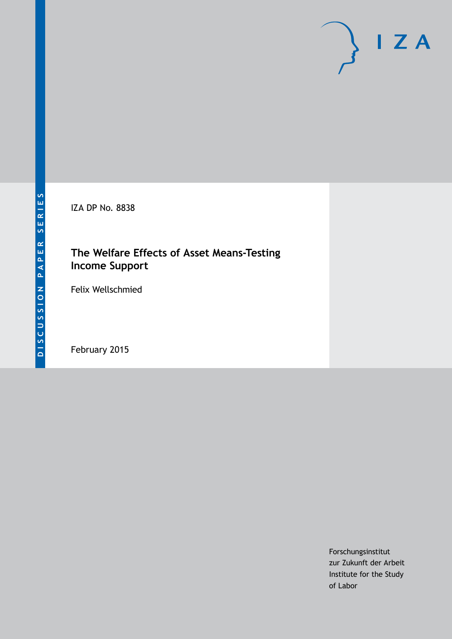IZA DP No. 8838

# **The Welfare Effects of Asset Means-Testing Income Support**

Felix Wellschmied

February 2015

Forschungsinstitut zur Zukunft der Arbeit Institute for the Study of Labor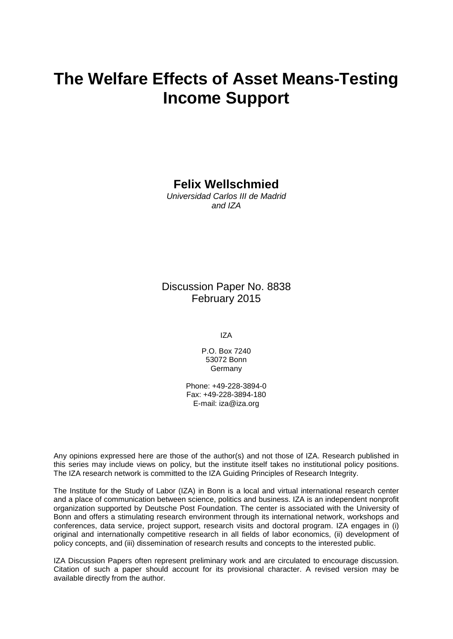# **The Welfare Effects of Asset Means-Testing Income Support**

## **Felix Wellschmied**

*Universidad Carlos III de Madrid and IZA*

### Discussion Paper No. 8838 February 2015

IZA

P.O. Box 7240 53072 Bonn **Germany** 

Phone: +49-228-3894-0 Fax: +49-228-3894-180 E-mail: [iza@iza.org](mailto:iza@iza.org)

Any opinions expressed here are those of the author(s) and not those of IZA. Research published in this series may include views on policy, but the institute itself takes no institutional policy positions. The IZA research network is committed to the IZA Guiding Principles of Research Integrity.

The Institute for the Study of Labor (IZA) in Bonn is a local and virtual international research center and a place of communication between science, politics and business. IZA is an independent nonprofit organization supported by Deutsche Post Foundation. The center is associated with the University of Bonn and offers a stimulating research environment through its international network, workshops and conferences, data service, project support, research visits and doctoral program. IZA engages in (i) original and internationally competitive research in all fields of labor economics, (ii) development of policy concepts, and (iii) dissemination of research results and concepts to the interested public.

<span id="page-1-0"></span>IZA Discussion Papers often represent preliminary work and are circulated to encourage discussion. Citation of such a paper should account for its provisional character. A revised version may be available directly from the author.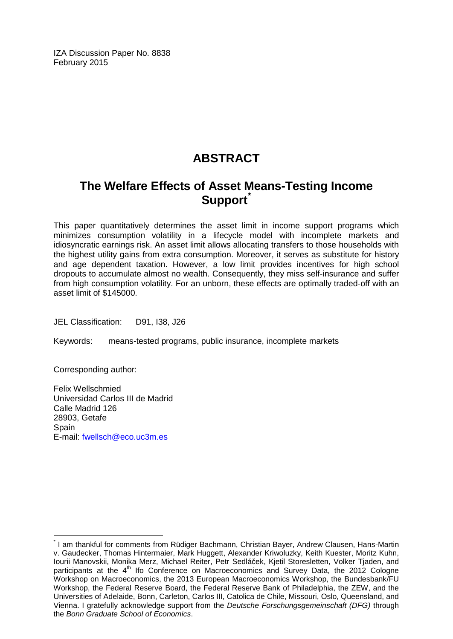IZA Discussion Paper No. 8838 February 2015

# **ABSTRACT**

# **The Welfare Effects of Asset Means-Testing Income Support[\\*](#page-1-0)**

This paper quantitatively determines the asset limit in income support programs which minimizes consumption volatility in a lifecycle model with incomplete markets and idiosyncratic earnings risk. An asset limit allows allocating transfers to those households with the highest utility gains from extra consumption. Moreover, it serves as substitute for history and age dependent taxation. However, a low limit provides incentives for high school dropouts to accumulate almost no wealth. Consequently, they miss self-insurance and suffer from high consumption volatility. For an unborn, these effects are optimally traded-off with an asset limit of \$145000.

JEL Classification: D91, I38, J26

Keywords: means-tested programs, public insurance, incomplete markets

Corresponding author:

Felix Wellschmied Universidad Carlos III de Madrid Calle Madrid 126 28903, Getafe Spain E-mail: [fwellsch@eco.uc3m.es](mailto:fwellsch@eco.uc3m.es)

\* I am thankful for comments from Rüdiger Bachmann, Christian Bayer, Andrew Clausen, Hans-Martin v. Gaudecker, Thomas Hintermaier, Mark Huggett, Alexander Kriwoluzky, Keith Kuester, Moritz Kuhn, Iourii Manovskii, Monika Merz, Michael Reiter, Petr Sedláček, Kjetil Storesletten, Volker Tjaden, and participants at the  $4<sup>th</sup>$  Ifo Conference on Macroeconomics and Survey Data, the 2012 Cologne Workshop on Macroeconomics, the 2013 European Macroeconomics Workshop, the Bundesbank/FU Workshop, the Federal Reserve Board, the Federal Reserve Bank of Philadelphia, the ZEW, and the Universities of Adelaide, Bonn, Carleton, Carlos III, Catolica de Chile, Missouri, Oslo, Queensland, and Vienna. I gratefully acknowledge support from the *Deutsche Forschungsgemeinschaft (DFG)* through the *Bonn Graduate School of Economics*.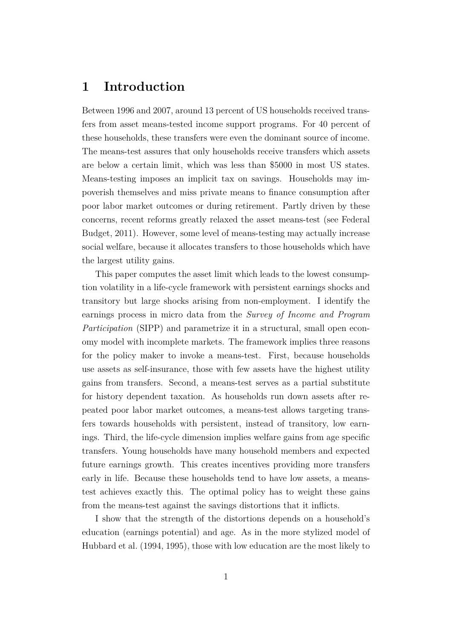### **1 Introduction**

Between 1996 and 2007, around 13 percent of US households received transfers from asset means-tested income support programs. For 40 percent of these households, these transfers were even the dominant source of income. The means-test assures that only households receive transfers which assets are below a certain limit, which was less than \$5000 in most US states. Means-testing imposes an implicit tax on savings. Households may impoverish themselves and miss private means to finance consumption after poor labor market outcomes or during retirement. Partly driven by these concerns, recent reforms greatly relaxed the asset means-test (see Federal Budget, 2011). However, some level of means-testing may actually increase social welfare, because it allocates transfers to those households which have the largest utility gains.

This paper computes the asset limit which leads to the lowest consumption volatility in a life-cycle framework with persistent earnings shocks and transitory but large shocks arising from non-employment. I identify the earnings process in micro data from the *Survey of Income and Program Participation* (SIPP) and parametrize it in a structural, small open economy model with incomplete markets. The framework implies three reasons for the policy maker to invoke a means-test. First, because households use assets as self-insurance, those with few assets have the highest utility gains from transfers. Second, a means-test serves as a partial substitute for history dependent taxation. As households run down assets after repeated poor labor market outcomes, a means-test allows targeting transfers towards households with persistent, instead of transitory, low earnings. Third, the life-cycle dimension implies welfare gains from age specific transfers. Young households have many household members and expected future earnings growth. This creates incentives providing more transfers early in life. Because these households tend to have low assets, a meanstest achieves exactly this. The optimal policy has to weight these gains from the means-test against the savings distortions that it inflicts.

I show that the strength of the distortions depends on a household's education (earnings potential) and age. As in the more stylized model of Hubbard et al. (1994, 1995), those with low education are the most likely to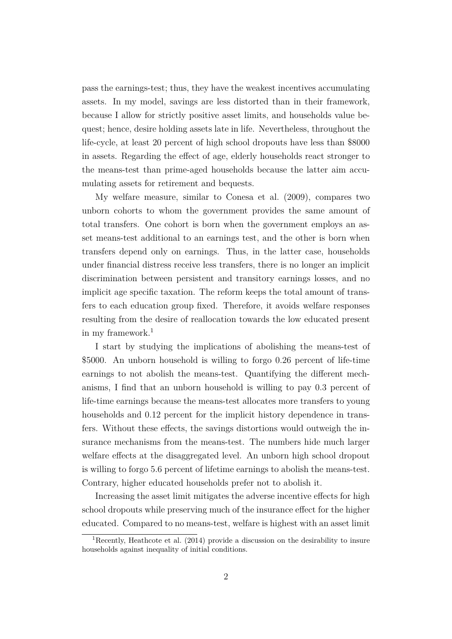pass the earnings-test; thus, they have the weakest incentives accumulating assets. In my model, savings are less distorted than in their framework, because I allow for strictly positive asset limits, and households value bequest; hence, desire holding assets late in life. Nevertheless, throughout the life-cycle, at least 20 percent of high school dropouts have less than \$8000 in assets. Regarding the effect of age, elderly households react stronger to the means-test than prime-aged households because the latter aim accumulating assets for retirement and bequests.

My welfare measure, similar to Conesa et al. (2009), compares two unborn cohorts to whom the government provides the same amount of total transfers. One cohort is born when the government employs an asset means-test additional to an earnings test, and the other is born when transfers depend only on earnings. Thus, in the latter case, households under financial distress receive less transfers, there is no longer an implicit discrimination between persistent and transitory earnings losses, and no implicit age specific taxation. The reform keeps the total amount of transfers to each education group fixed. Therefore, it avoids welfare responses resulting from the desire of reallocation towards the low educated present in my framework.<sup>1</sup>

I start by studying the implications of abolishing the means-test of \$5000. An unborn household is willing to forgo 0*.*26 percent of life-time earnings to not abolish the means-test. Quantifying the different mechanisms, I find that an unborn household is willing to pay 0*.*3 percent of life-time earnings because the means-test allocates more transfers to young households and  $0.12$  percent for the implicit history dependence in transfers. Without these effects, the savings distortions would outweigh the insurance mechanisms from the means-test. The numbers hide much larger welfare effects at the disaggregated level. An unborn high school dropout is willing to forgo 5.6 percent of lifetime earnings to abolish the means-test. Contrary, higher educated households prefer not to abolish it.

Increasing the asset limit mitigates the adverse incentive effects for high school dropouts while preserving much of the insurance effect for the higher educated. Compared to no means-test, welfare is highest with an asset limit

<sup>1</sup>Recently, Heathcote et al. (2014) provide a discussion on the desirability to insure households against inequality of initial conditions.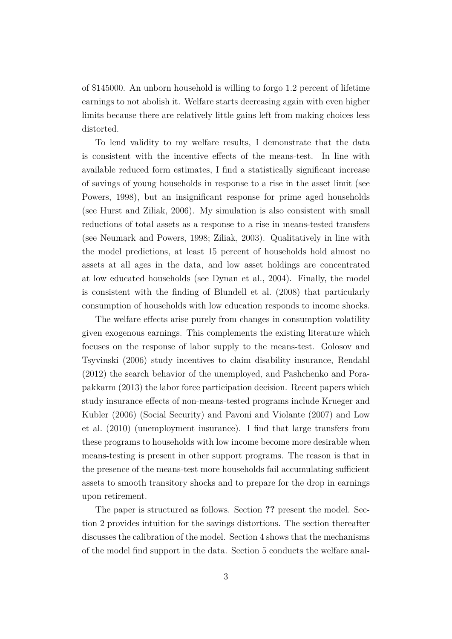of \$145000. An unborn household is willing to forgo 1.2 percent of lifetime earnings to not abolish it. Welfare starts decreasing again with even higher limits because there are relatively little gains left from making choices less distorted.

To lend validity to my welfare results, I demonstrate that the data is consistent with the incentive effects of the means-test. In line with available reduced form estimates, I find a statistically significant increase of savings of young households in response to a rise in the asset limit (see Powers, 1998), but an insignificant response for prime aged households (see Hurst and Ziliak, 2006). My simulation is also consistent with small reductions of total assets as a response to a rise in means-tested transfers (see Neumark and Powers, 1998; Ziliak, 2003). Qualitatively in line with the model predictions, at least 15 percent of households hold almost no assets at all ages in the data, and low asset holdings are concentrated at low educated households (see Dynan et al., 2004). Finally, the model is consistent with the finding of Blundell et al. (2008) that particularly consumption of households with low education responds to income shocks.

The welfare effects arise purely from changes in consumption volatility given exogenous earnings. This complements the existing literature which focuses on the response of labor supply to the means-test. Golosov and Tsyvinski (2006) study incentives to claim disability insurance, Rendahl (2012) the search behavior of the unemployed, and Pashchenko and Porapakkarm (2013) the labor force participation decision. Recent papers which study insurance effects of non-means-tested programs include Krueger and Kubler (2006) (Social Security) and Pavoni and Violante (2007) and Low et al. (2010) (unemployment insurance). I find that large transfers from these programs to households with low income become more desirable when means-testing is present in other support programs. The reason is that in the presence of the means-test more households fail accumulating sufficient assets to smooth transitory shocks and to prepare for the drop in earnings upon retirement.

The paper is structured as follows. Section **??** present the model. Section 2 provides intuition for the savings distortions. The section thereafter discusses the calibration of the model. Section 4 shows that the mechanisms of the model find support in the data. Section 5 conducts the welfare anal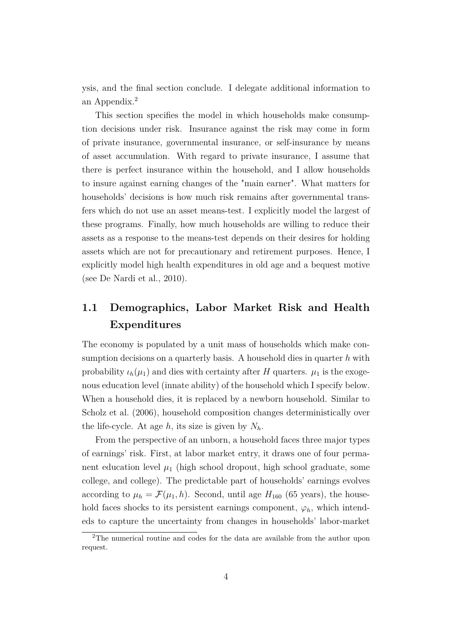ysis, and the final section conclude. I delegate additional information to an Appendix.<sup>2</sup>

This section specifies the model in which households make consumption decisions under risk. Insurance against the risk may come in form of private insurance, governmental insurance, or self-insurance by means of asset accumulation. With regard to private insurance, I assume that there is perfect insurance within the household, and I allow households to insure against earning changes of the "main earner". What matters for households' decisions is how much risk remains after governmental transfers which do not use an asset means-test. I explicitly model the largest of these programs. Finally, how much households are willing to reduce their assets as a response to the means-test depends on their desires for holding assets which are not for precautionary and retirement purposes. Hence, I explicitly model high health expenditures in old age and a bequest motive (see De Nardi et al., 2010).

# **1.1 Demographics, Labor Market Risk and Health Expenditures**

The economy is populated by a unit mass of households which make consumption decisions on a quarterly basis. A household dies in quarter *h* with probability  $\iota_h(\mu_1)$  and dies with certainty after *H* quarters.  $\mu_1$  is the exogenous education level (innate ability) of the household which I specify below. When a household dies, it is replaced by a newborn household. Similar to Scholz et al. (2006), household composition changes deterministically over the life-cycle. At age  $h$ , its size is given by  $N_h$ .

From the perspective of an unborn, a household faces three major types of earnings' risk. First, at labor market entry, it draws one of four permanent education level  $\mu_1$  (high school dropout, high school graduate, some college, and college). The predictable part of households' earnings evolves according to  $\mu_h = \mathcal{F}(\mu_1, h)$ . Second, until age  $H_{160}$  (65 years), the household faces shocks to its persistent earnings component,  $\varphi_h$ , which intendeds to capture the uncertainty from changes in households' labor-market

<sup>2</sup>The numerical routine and codes for the data are available from the author upon request.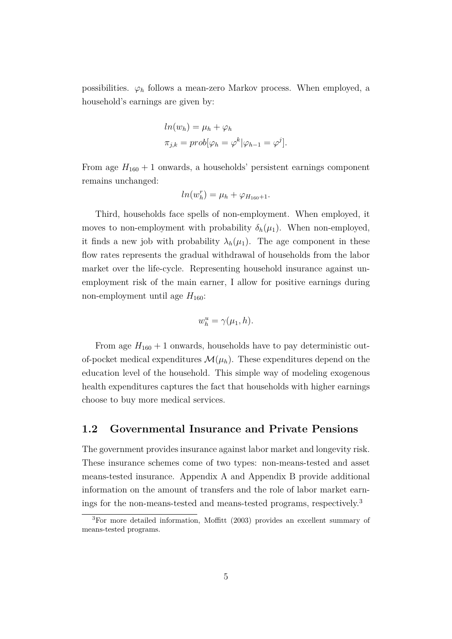possibilities.  $\varphi_h$  follows a mean-zero Markov process. When employed, a household's earnings are given by:

$$
ln(w_h) = \mu_h + \varphi_h
$$
  

$$
\pi_{j,k} = prob[\varphi_h = \varphi^k | \varphi_{h-1} = \varphi^j].
$$

From age  $H_{160} + 1$  onwards, a households' persistent earnings component remains unchanged:

$$
ln(w_h^r) = \mu_h + \varphi_{H_{160}+1}.
$$

Third, households face spells of non-employment. When employed, it moves to non-employment with probability  $\delta_h(\mu_1)$ . When non-employed, it finds a new job with probability  $\lambda_h(\mu_1)$ . The age component in these flow rates represents the gradual withdrawal of households from the labor market over the life-cycle. Representing household insurance against unemployment risk of the main earner, I allow for positive earnings during non-employment until age  $H_{160}$ :

$$
w_h^u = \gamma(\mu_1, h).
$$

From age  $H_{160} + 1$  onwards, households have to pay deterministic outof-pocket medical expenditures  $\mathcal{M}(\mu_h)$ . These expenditures depend on the education level of the household. This simple way of modeling exogenous health expenditures captures the fact that households with higher earnings choose to buy more medical services.

#### **1.2 Governmental Insurance and Private Pensions**

The government provides insurance against labor market and longevity risk. These insurance schemes come of two types: non-means-tested and asset means-tested insurance. Appendix A and Appendix B provide additional information on the amount of transfers and the role of labor market earnings for the non-means-tested and means-tested programs, respectively.<sup>3</sup>

<sup>3</sup>For more detailed information, Moffitt (2003) provides an excellent summary of means-tested programs.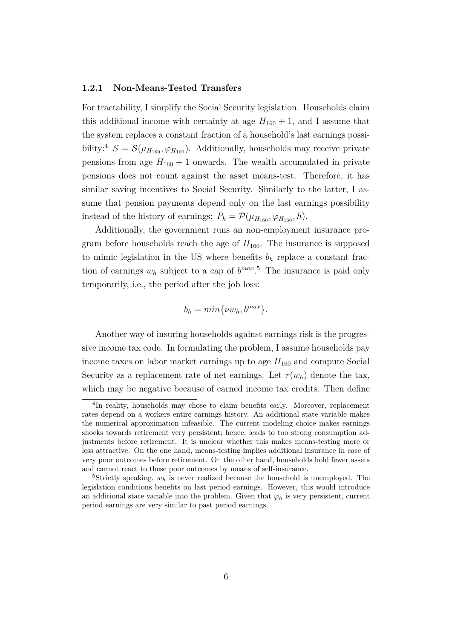#### **1.2.1 Non-Means-Tested Transfers**

For tractability, I simplify the Social Security legislation. Households claim this additional income with certainty at age  $H_{160} + 1$ , and I assume that the system replaces a constant fraction of a household's last earnings possibility:<sup>4</sup>  $S = \mathcal{S}(\mu_{H_{160}}, \varphi_{H_{160}})$ . Additionally, households may receive private pensions from age  $H_{160} + 1$  onwards. The wealth accumulated in private pensions does not count against the asset means-test. Therefore, it has similar saving incentives to Social Security. Similarly to the latter, I assume that pension payments depend only on the last earnings possibility instead of the history of earnings:  $P_h = \mathcal{P}(\mu_{H_{160}}, \varphi_{H_{160}}, h)$ .

Additionally, the government runs an non-employment insurance program before households reach the age of  $H_{160}$ . The insurance is supposed to mimic legislation in the US where benefits  $b<sub>h</sub>$  replace a constant fraction of earnings  $w_h$  subject to a cap of  $b^{max}.$ <sup>5</sup> The insurance is paid only temporarily, i.e., the period after the job loss:

$$
b_h = min\{\nu w_h, b^{max}\}.
$$

Another way of insuring households against earnings risk is the progressive income tax code. In formulating the problem, I assume households pay income taxes on labor market earnings up to age  $H_{160}$  and compute Social Security as a replacement rate of net earnings. Let  $\tau(w_h)$  denote the tax, which may be negative because of earned income tax credits. Then define

<sup>&</sup>lt;sup>4</sup>In reality, households may chose to claim benefits early. Moreover, replacement rates depend on a workers entire earnings history. An additional state variable makes the numerical approximation infeasible. The current modeling choice makes earnings shocks towards retirement very persistent; hence, leads to too strong consumption adjustments before retirement. It is unclear whether this makes means-testing more or less attractive. On the one hand, means-testing implies additional insurance in case of very poor outcomes before retirement. On the other hand, households hold fewer assets and cannot react to these poor outcomes by means of self-insurance.

<sup>5</sup>Strictly speaking, *w<sup>h</sup>* is never realized because the household is unemployed. The legislation conditions benefits on last period earnings. However, this would introduce an additional state variable into the problem. Given that  $\varphi_h$  is very persistent, current period earnings are very similar to past period earnings.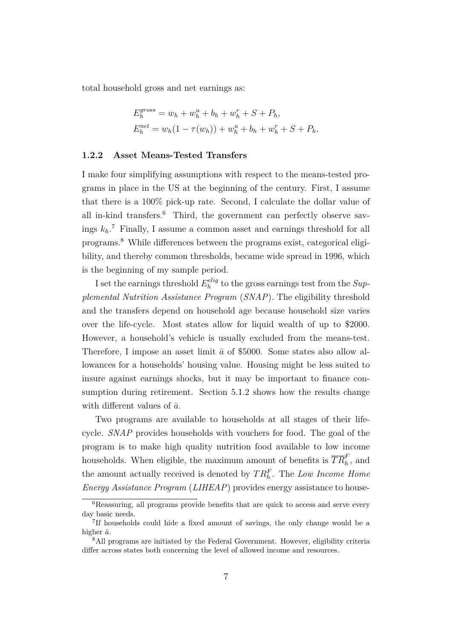total household gross and net earnings as:

$$
E_h^{gross} = w_h + w_h^u + b_h + w_h^r + S + P_h,
$$
  
\n
$$
E_h^{net} = w_h(1 - \tau(w_h)) + w_h^u + b_h + w_h^r + S + P_h.
$$

#### **1.2.2 Asset Means-Tested Transfers**

I make four simplifying assumptions with respect to the means-tested programs in place in the US at the beginning of the century. First, I assume that there is a 100% pick-up rate. Second, I calculate the dollar value of all in-kind transfers.<sup>6</sup> Third, the government can perfectly observe savings  $k_h$ <sup>7</sup>. Finally, I assume a common asset and earnings threshold for all programs.<sup>8</sup> While differences between the programs exist, categorical eligibility, and thereby common thresholds, became wide spread in 1996, which is the beginning of my sample period.

I set the earnings threshold  $E_h^{elig}$  $\frac{e^{i\ell t}g}{h}$  to the gross earnings test from the *Supplemental Nutrition Assistance Program* (*SNAP*). The eligibility threshold and the transfers depend on household age because household size varies over the life-cycle. Most states allow for liquid wealth of up to \$2000. However, a household's vehicle is usually excluded from the means-test. Therefore, I impose an asset limit  $\bar{a}$  of \$5000. Some states also allow allowances for a households' housing value. Housing might be less suited to insure against earnings shocks, but it may be important to finance consumption during retirement. Section 5.1.2 shows how the results change with different values of  $\bar{a}$ .

Two programs are available to households at all stages of their lifecycle. *SNAP* provides households with vouchers for food. The goal of the program is to make high quality nutrition food available to low income households. When eligible, the maximum amount of benefits is  $\overline{TR}_h^F$ , and the amount actually received is denoted by  $TR<sub>h</sub><sup>F</sup>$ . The *Low Income Home Energy Assistance Program* (*LIHEAP*) provides energy assistance to house-

<sup>&</sup>lt;sup>6</sup>Reassuring, all programs provide benefits that are quick to access and serve every day basic needs.

<sup>7</sup> If households could hide a fixed amount of savings, the only change would be a higher  $\bar{a}$ .

<sup>8</sup>All programs are initiated by the Federal Government. However, eligibility criteria differ across states both concerning the level of allowed income and resources.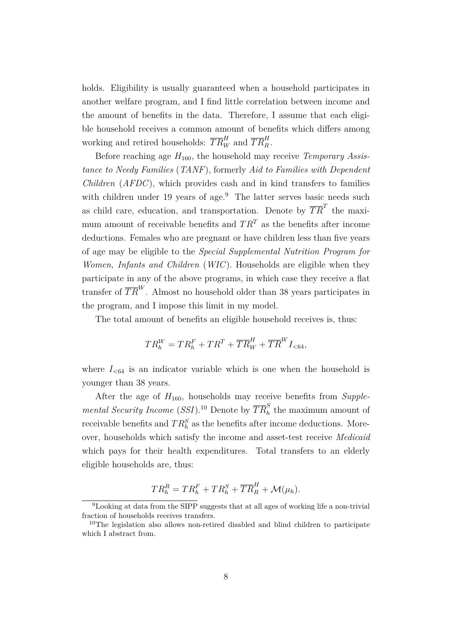holds. Eligibility is usually guaranteed when a household participates in another welfare program, and I find little correlation between income and the amount of benefits in the data. Therefore, I assume that each eligible household receives a common amount of benefits which differs among working and retired households:  $\overline{TR}_W^H$  and  $\overline{TR}_R^H$ .

Before reaching age *H*160, the household may receive *Temporary Assistance to Needy Families* (*TANF*), formerly *Aid to Families with Dependent Children* (*AFDC*), which provides cash and in kind transfers to families with children under 19 years of age. $9$  The latter serves basic needs such as child care, education, and transportation. Denote by  $\overline{TR}^T$  the maximum amount of receivable benefits and  $TR<sup>T</sup>$  as the benefits after income deductions. Females who are pregnant or have children less than five years of age may be eligible to the *Special Supplemental Nutrition Program for Women, Infants and Children* (*WIC*). Households are eligible when they participate in any of the above programs, in which case they receive a flat transfer of  $\overline{TR}^W$ . Almost no household older than 38 years participates in the program, and I impose this limit in my model.

The total amount of benefits an eligible household receives is, thus:

$$
TR_h^W = TR_h^F + TR^T + \overline{TR}_W^H + \overline{TR}^W I_{< 64},
$$

where  $I_{<64}$  is an indicator variable which is one when the household is younger than 38 years.

After the age of  $H_{160}$ , households may receive benefits from *Supplemental Security Income* (*SSI*).<sup>10</sup> Denote by  $\overline{TR}_h^S$  the maximum amount of receivable benefits and  $TR_h^S$  as the benefits after income deductions. Moreover, households which satisfy the income and asset-test receive *Medicaid* which pays for their health expenditures. Total transfers to an elderly eligible households are, thus:

$$
TR_h^R = TR_h^F + TR_h^S + \overline{TR}_R^H + \mathcal{M}(\mu_h).
$$

<sup>9</sup>Looking at data from the SIPP suggests that at all ages of working life a non-trivial fraction of households receives transfers.

<sup>&</sup>lt;sup>10</sup>The legislation also allows non-retired disabled and blind children to participate which I abstract from.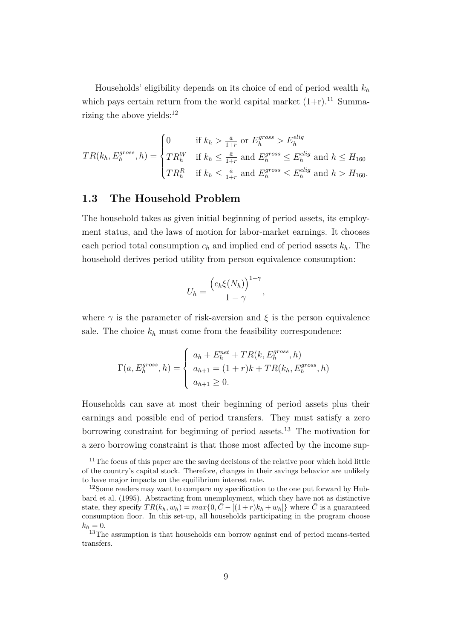Households' eligibility depends on its choice of end of period wealth *k<sup>h</sup>* which pays certain return from the world capital market  $(1+r)$ .<sup>11</sup> Summarizing the above yields: $12$ 

$$
TR(k_h, E_h^{gross}, h) = \begin{cases} 0 & \text{if } k_h > \frac{\bar{a}}{1+r} \text{ or } E_h^{gross} > E_h^{elig} \\ TR_h^W & \text{if } k_h \le \frac{\bar{a}}{1+r} \text{ and } E_h^{gross} \le E_h^{elig} \text{ and } h \le H_{160} \\ TR_h^R & \text{if } k_h \le \frac{\bar{a}}{1+r} \text{ and } E_h^{gross} \le E_h^{elig} \text{ and } h > H_{160}. \end{cases}
$$

#### **1.3 The Household Problem**

The household takes as given initial beginning of period assets, its employment status, and the laws of motion for labor-market earnings. It chooses each period total consumption  $c_h$  and implied end of period assets  $k_h$ . The household derives period utility from person equivalence consumption:

$$
U_h = \frac{\left(c_h \xi(N_h)\right)^{1-\gamma}}{1-\gamma},
$$

where  $\gamma$  is the parameter of risk-aversion and  $\xi$  is the person equivalence sale. The choice  $k_h$  must come from the feasibility correspondence:

$$
\Gamma(a, E_h^{gross}, h) = \begin{cases} a_h + E_h^{net} + TR(k, E_h^{gross}, h) \\ a_{h+1} = (1+r)k + TR(k_h, E_h^{gross}, h) \\ a_{h+1} \ge 0. \end{cases}
$$

Households can save at most their beginning of period assets plus their earnings and possible end of period transfers. They must satisfy a zero borrowing constraint for beginning of period assets.<sup>13</sup> The motivation for a zero borrowing constraint is that those most affected by the income sup-

 $11$ The focus of this paper are the saving decisions of the relative poor which hold little of the country's capital stock. Therefore, changes in their savings behavior are unlikely to have major impacts on the equilibrium interest rate.

<sup>&</sup>lt;sup>12</sup>Some readers may want to compare my specification to the one put forward by Hubbard et al. (1995). Abstracting from unemployment, which they have not as distinctive state, they specify  $TR(k_h, w_h) = max\{0, \bar{C} - [(1+r)k_h + w_h]\}$  where  $\bar{C}$  is a guaranteed consumption floor. In this set-up, all households participating in the program choose  $k_h = 0.$ 

<sup>13</sup>The assumption is that households can borrow against end of period means-tested transfers.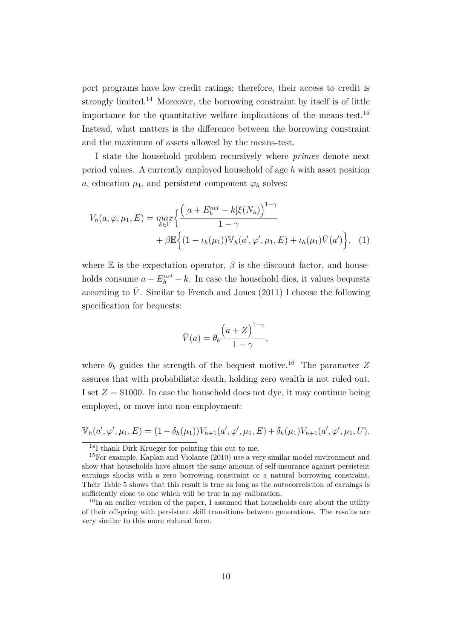port programs have low credit ratings; therefore, their access to credit is strongly limited.<sup>14</sup> Moreover, the borrowing constraint by itself is of little importance for the quantitative welfare implications of the means-test.<sup>15</sup> Instead, what matters is the difference between the borrowing constraint and the maximum of assets allowed by the means-test.

I state the household problem recursively where *primes* denote next period values. A currently employed household of age *h* with asset position *a*, education  $\mu_1$ , and persistent component  $\varphi_h$  solves:

$$
V_h(a, \varphi, \mu_1, E) = \max_{k \in \Gamma} \left\{ \frac{\left( [a + E_h^{net} - k] \xi(N_h) \right)^{1 - \gamma}}{1 - \gamma} + \beta \mathbb{E} \left\{ (1 - \iota_h(\mu_1)) \mathbb{V}_h(a', \varphi', \mu_1, E) + \iota_h(\mu_1) \bar{V}(a') \right\}, \tag{1}
$$

where  $E$  is the expectation operator,  $\beta$  is the discount factor, and households consume  $a + E_h^{net} - k$ . In case the household dies, it values bequests according to  $\bar{V}$ . Similar to French and Jones (2011) I choose the following specification for bequests:

$$
\bar{V}(a) = \theta_b \frac{\left(a+Z\right)^{1-\gamma}}{1-\gamma},
$$

where  $\theta_b$  guides the strength of the bequest motive.<sup>16</sup> The parameter  $Z$ assures that with probabilistic death, holding zero wealth is not ruled out. I set  $Z = \$1000$ . In case the household does not dye, it may continue being employed, or move into non-employment:

$$
\mathbb{V}_h(a', \varphi', \mu_1, E) = (1 - \delta_h(\mu_1)) V_{h+1}(a', \varphi', \mu_1, E) + \delta_h(\mu_1) V_{h+1}(a', \varphi', \mu_1, U).
$$

<sup>14</sup>I thank Dirk Krueger for pointing this out to me.

<sup>15</sup>For example, Kaplan and Violante (2010) use a very similar model environment and show that households have almost the same amount of self-insurance against persistent earnings shocks with a zero borrowing constraint or a natural borrowing constraint. Their Table 5 shows that this result is true as long as the autocorrelation of earnings is sufficiently close to one which will be true in my calibration.

<sup>&</sup>lt;sup>16</sup>In an earlier version of the paper, I assumed that households care about the utility of their offspring with persistent skill transitions between generations. The results are very similar to this more reduced form.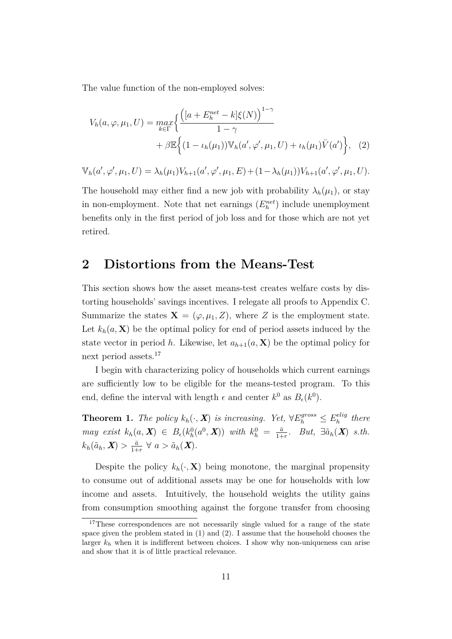The value function of the non-employed solves:

$$
V_h(a, \varphi, \mu_1, U) = \max_{k \in \Gamma} \left\{ \frac{\left( [a + E_h^{net} - k] \xi(N) \right)^{1 - \gamma}}{1 - \gamma} + \beta \mathbb{E} \left\{ (1 - \iota_h(\mu_1)) \mathbb{V}_h(a', \varphi', \mu_1, U) + \iota_h(\mu_1) \bar{V}(a') \right\}, \tag{2}
$$

$$
\mathbb{V}_h(a', \varphi', \mu_1, U) = \lambda_h(\mu_1) V_{h+1}(a', \varphi', \mu_1, E) + (1 - \lambda_h(\mu_1)) V_{h+1}(a', \varphi', \mu_1, U).
$$

The household may either find a new job with probability  $\lambda_h(\mu_1)$ , or stay in non-employment. Note that net earnings  $(E_h^{net})$  include unemployment benefits only in the first period of job loss and for those which are not yet retired.

### **2 Distortions from the Means-Test**

This section shows how the asset means-test creates welfare costs by distorting households' savings incentives. I relegate all proofs to Appendix C. Summarize the states  $\mathbf{X} = (\varphi, \mu_1, Z)$ , where Z is the employment state. Let  $k_h(a, \mathbf{X})$  be the optimal policy for end of period assets induced by the state vector in period *h*. Likewise, let  $a_{h+1}(a, \mathbf{X})$  be the optimal policy for next period assets.<sup>17</sup>

I begin with characterizing policy of households which current earnings are sufficiently low to be eligible for the means-tested program. To this end, define the interval with length  $\epsilon$  and center  $k^0$  as  $B_{\epsilon}(k^0)$ .

**Theorem 1.** *The policy*  $k_h(\cdot, \mathbf{X})$  *is increasing. Yet,*  $\forall E_h^{gross} \leq E_h^{elig}$  $\mathbf{f}_h^{e l i g}$  there *may exist*  $k_h(a, X) \in B_{\epsilon}(k_h^0(a^0, X))$  *with*  $k_h^0 = \frac{\bar{a}}{1+h}$  $\frac{\bar{a}}{1+r}$ *. But,*  $\exists \tilde{a}_h(\boldsymbol{X})$  *s.th.*  $k_h(\tilde{a}_h, \boldsymbol{X}) > \frac{\bar{a}}{1+\bar{b}}$  $\frac{\bar{a}}{1+r}$   $\forall$   $a > \tilde{a}_h(\boldsymbol{X})$ .

Despite the policy  $k_h(\cdot, \mathbf{X})$  being monotone, the marginal propensity to consume out of additional assets may be one for households with low income and assets. Intuitively, the household weights the utility gains from consumption smoothing against the forgone transfer from choosing

<sup>&</sup>lt;sup>17</sup>These correspondences are not necessarily single valued for a range of the state space given the problem stated in  $(1)$  and  $(2)$ . I assume that the household chooses the larger  $k_h$  when it is indifferent between choices. I show why non-uniqueness can arise and show that it is of little practical relevance.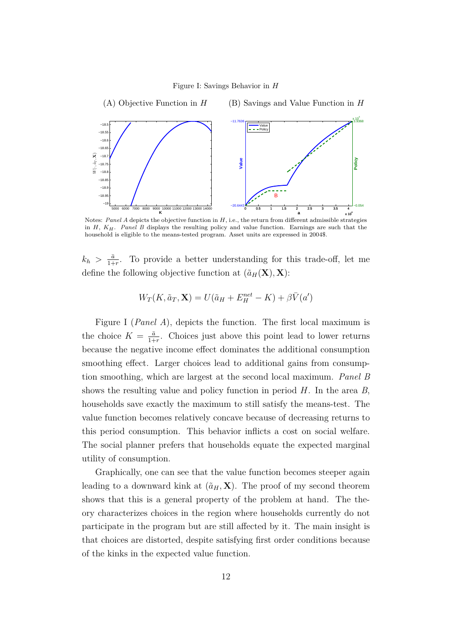#### Figure I: Savings Behavior in *H*



Notes: *Panel A* depicts the objective function in *H*, i.e., the return from different admissible strategies in *H*, *KH*. *Panel B* displays the resulting policy and value function. Earnings are such that the household is eligible to the means-tested program. Asset units are expressed in 2004\$.

 $k_h > \frac{\bar{a}}{1+\bar{b}}$  $\frac{\bar{a}}{1+r}$ . To provide a better understanding for this trade-off, let me define the following objective function at  $(\tilde{a}_H(\mathbf{X}), \mathbf{X})$ :

$$
W_T(K, \tilde{a}_T, \mathbf{X}) = U(\tilde{a}_H + E_H^{net} - K) + \beta \bar{V}(a')
$$

Figure I (*Panel A*), depicts the function. The first local maximum is the choice  $K = \frac{\bar{a}}{1+\bar{b}}$  $\frac{\bar{a}}{1+r}$ . Choices just above this point lead to lower returns because the negative income effect dominates the additional consumption smoothing effect. Larger choices lead to additional gains from consumption smoothing, which are largest at the second local maximum. *Panel B* shows the resulting value and policy function in period *H*. In the area *B*, households save exactly the maximum to still satisfy the means-test. The value function becomes relatively concave because of decreasing returns to this period consumption. This behavior inflicts a cost on social welfare. The social planner prefers that households equate the expected marginal utility of consumption.

Graphically, one can see that the value function becomes steeper again leading to a downward kink at  $(\tilde{a}_H, \mathbf{X})$ . The proof of my second theorem shows that this is a general property of the problem at hand. The theory characterizes choices in the region where households currently do not participate in the program but are still affected by it. The main insight is that choices are distorted, despite satisfying first order conditions because of the kinks in the expected value function.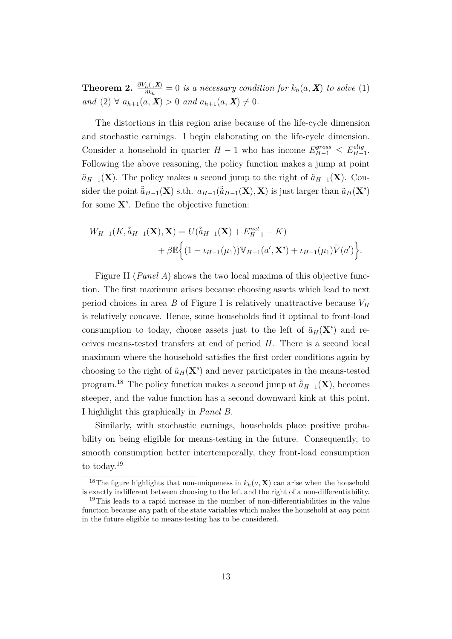**Theorem 2.**  $\frac{\partial V_h(\cdot,\mathbf{X})}{\partial k_h} = 0$  *is a necessary condition for*  $k_h(a,\mathbf{X})$  *to solve* (1) *and*  $(2)$   $\forall$   $a_{h+1}(a, \mathbf{X}) > 0$  *and*  $a_{h+1}(a, \mathbf{X}) \neq 0$ *.* 

The distortions in this region arise because of the life-cycle dimension and stochastic earnings. I begin elaborating on the life-cycle dimension. Consider a household in quarter  $H-1$  who has income  $E_{H-1}^{gross} \leq E_{H-1}^{elig}$ *H*−1 . Following the above reasoning, the policy function makes a jump at point  $\tilde{a}_{H-1}(\mathbf{X})$ . The policy makes a second jump to the right of  $\tilde{a}_{H-1}(\mathbf{X})$ . Consider the point  $\tilde{a}_{H-1}(\mathbf{X})$  s.th.  $a_{H-1}(\tilde{a}_{H-1}(\mathbf{X}), \mathbf{X})$  is just larger than  $\tilde{a}_H(\mathbf{X}')$ for some **X'**. Define the objective function:

$$
W_{H-1}(K, \tilde{a}_{H-1}(\mathbf{X}), \mathbf{X}) = U(\tilde{a}_{H-1}(\mathbf{X}) + E_{H-1}^{net} - K) + \beta \mathbb{E}\Big\{ (1 - \iota_{H-1}(\mu_1)) \mathbb{V}_{H-1}(a', \mathbf{X'}) + \iota_{H-1}(\mu_1) \bar{V}(a') \Big\}.
$$

Figure II (*Panel A*) shows the two local maxima of this objective function. The first maximum arises because choosing assets which lead to next period choices in area *B* of Figure I is relatively unattractive because  $V_H$ is relatively concave. Hence, some households find it optimal to front-load consumption to today, choose assets just to the left of  $\tilde{a}_H(\mathbf{X}^{\prime})$  and receives means-tested transfers at end of period *H*. There is a second local maximum where the household satisfies the first order conditions again by choosing to the right of  $\tilde{a}_H(\mathbf{X}')$  and never participates in the means-tested program.<sup>18</sup> The policy function makes a second jump at  $\tilde{a}_{H-1}(\mathbf{X})$ , becomes steeper, and the value function has a second downward kink at this point. I highlight this graphically in *Panel B*.

Similarly, with stochastic earnings, households place positive probability on being eligible for means-testing in the future. Consequently, to smooth consumption better intertemporally, they front-load consumption to today.<sup>19</sup>

<sup>&</sup>lt;sup>18</sup>The figure highlights that non-uniqueness in  $k_h(a, \mathbf{X})$  can arise when the household is exactly indifferent between choosing to the left and the right of a non-differentiability.

<sup>19</sup>This leads to a rapid increase in the number of non-differentiabilities in the value function because *any* path of the state variables which makes the household at *any* point in the future eligible to means-testing has to be considered.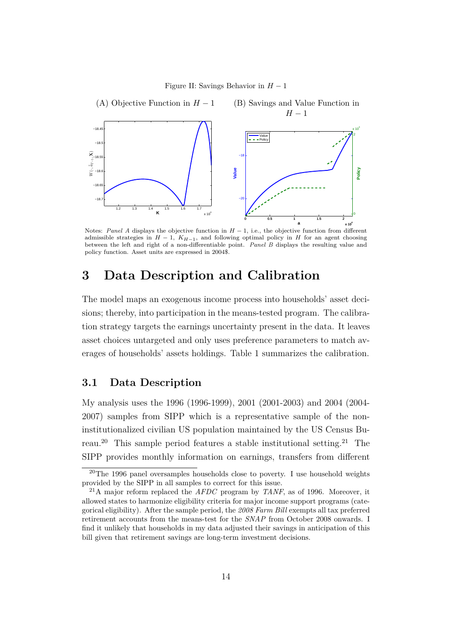Figure II: Savings Behavior in *H* − 1



Notes: *Panel A* displays the objective function in *H* − 1, i.e., the objective function from different admissible strategies in  $H-1$ ,  $K_{H-1}$ , and following optimal policy in *H* for an agent choosing between the left and right of a non-differentiable point. *Panel B* displays the resulting value and policy function. Asset units are expressed in 2004\$.

# **3 Data Description and Calibration**

The model maps an exogenous income process into households' asset decisions; thereby, into participation in the means-tested program. The calibration strategy targets the earnings uncertainty present in the data. It leaves asset choices untargeted and only uses preference parameters to match averages of households' assets holdings. Table 1 summarizes the calibration.

### **3.1 Data Description**

My analysis uses the 1996 (1996-1999), 2001 (2001-2003) and 2004 (2004- 2007) samples from SIPP which is a representative sample of the noninstitutionalized civilian US population maintained by the US Census Bureau.<sup>20</sup> This sample period features a stable institutional setting.<sup>21</sup> The SIPP provides monthly information on earnings, transfers from different

<sup>20</sup>The 1996 panel oversamples households close to poverty. I use household weights provided by the SIPP in all samples to correct for this issue.

<sup>21</sup>A major reform replaced the *AFDC* program by *TANF*, as of 1996. Moreover, it allowed states to harmonize eligibility criteria for major income support programs (categorical eligibility). After the sample period, the *2008 Farm Bill* exempts all tax preferred retirement accounts from the means-test for the *SNAP* from October 2008 onwards. I find it unlikely that households in my data adjusted their savings in anticipation of this bill given that retirement savings are long-term investment decisions.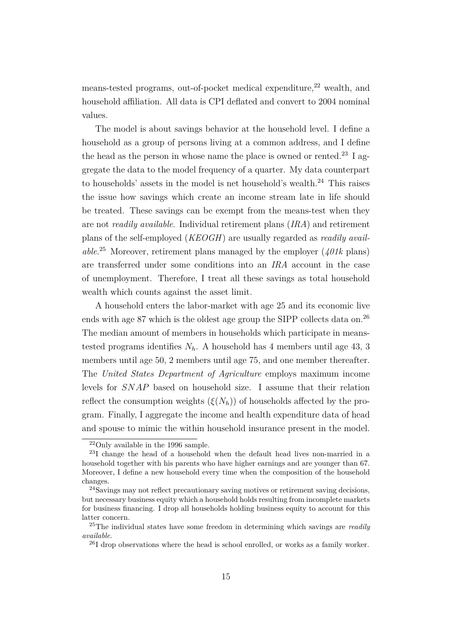means-tested programs, out-of-pocket medical expenditure,<sup>22</sup> wealth, and household affiliation. All data is CPI deflated and convert to 2004 nominal values.

The model is about savings behavior at the household level. I define a household as a group of persons living at a common address, and I define the head as the person in whose name the place is owned or rented.<sup>23</sup> I aggregate the data to the model frequency of a quarter. My data counterpart to households' assets in the model is net household's wealth. $^{24}$  This raises the issue how savings which create an income stream late in life should be treated. These savings can be exempt from the means-test when they are not *readily available*. Individual retirement plans (*IRA*) and retirement plans of the self-employed (*KEOGH*) are usually regarded as *readily available*. <sup>25</sup> Moreover, retirement plans managed by the employer (*401k* plans) are transferred under some conditions into an *IRA* account in the case of unemployment. Therefore, I treat all these savings as total household wealth which counts against the asset limit.

A household enters the labor-market with age 25 and its economic live ends with age 87 which is the oldest age group the SIPP collects data on.<sup>26</sup> The median amount of members in households which participate in meanstested programs identifies  $N_h$ . A household has 4 members until age 43, 3 members until age 50, 2 members until age 75, and one member thereafter. The *United States Department of Agriculture* employs maximum income levels for *SNAP* based on household size. I assume that their relation reflect the consumption weights  $(\xi(N_h))$  of households affected by the program. Finally, I aggregate the income and health expenditure data of head and spouse to mimic the within household insurance present in the model.

 $22$ Only available in the 1996 sample.

<sup>23</sup>I change the head of a household when the default head lives non-married in a household together with his parents who have higher earnings and are younger than 67. Moreover, I define a new household every time when the composition of the household changes.

<sup>24</sup>Savings may not reflect precautionary saving motives or retirement saving decisions, but necessary business equity which a household holds resulting from incomplete markets for business financing. I drop all households holding business equity to account for this latter concern.

<sup>25</sup>The individual states have some freedom in determining which savings are *readily available*.

 $^{26}I$  drop observations where the head is school enrolled, or works as a family worker.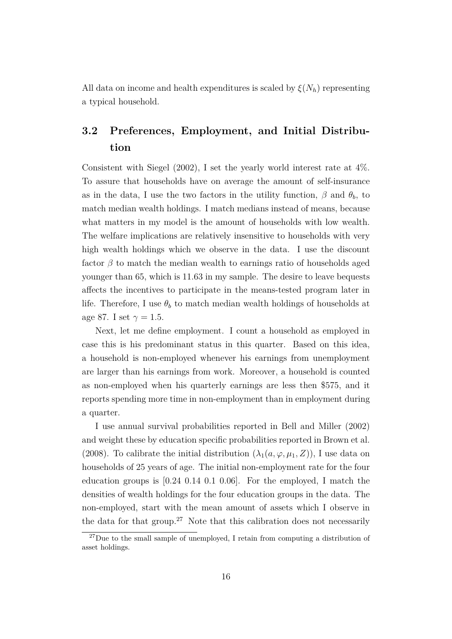All data on income and health expenditures is scaled by  $\xi(N_h)$  representing a typical household.

# **3.2 Preferences, Employment, and Initial Distribution**

Consistent with Siegel (2002), I set the yearly world interest rate at 4%. To assure that households have on average the amount of self-insurance as in the data, I use the two factors in the utility function,  $\beta$  and  $\theta_b$ , to match median wealth holdings. I match medians instead of means, because what matters in my model is the amount of households with low wealth. The welfare implications are relatively insensitive to households with very high wealth holdings which we observe in the data. I use the discount factor  $\beta$  to match the median wealth to earnings ratio of households aged younger than 65, which is 11*.*63 in my sample. The desire to leave bequests affects the incentives to participate in the means-tested program later in life. Therefore, I use  $\theta_b$  to match median wealth holdings of households at age 87. I set  $\gamma = 1.5$ .

Next, let me define employment. I count a household as employed in case this is his predominant status in this quarter. Based on this idea, a household is non-employed whenever his earnings from unemployment are larger than his earnings from work. Moreover, a household is counted as non-employed when his quarterly earnings are less then \$575, and it reports spending more time in non-employment than in employment during a quarter.

I use annual survival probabilities reported in Bell and Miller (2002) and weight these by education specific probabilities reported in Brown et al. (2008). To calibrate the initial distribution  $(\lambda_1(a,\varphi,\mu_1,Z))$ , I use data on households of 25 years of age. The initial non-employment rate for the four education groups is  $[0.24 \ 0.14 \ 0.1 \ 0.06]$ . For the employed, I match the densities of wealth holdings for the four education groups in the data. The non-employed, start with the mean amount of assets which I observe in the data for that group.<sup>27</sup> Note that this calibration does not necessarily

 $^{27}$ Due to the small sample of unemployed, I retain from computing a distribution of asset holdings.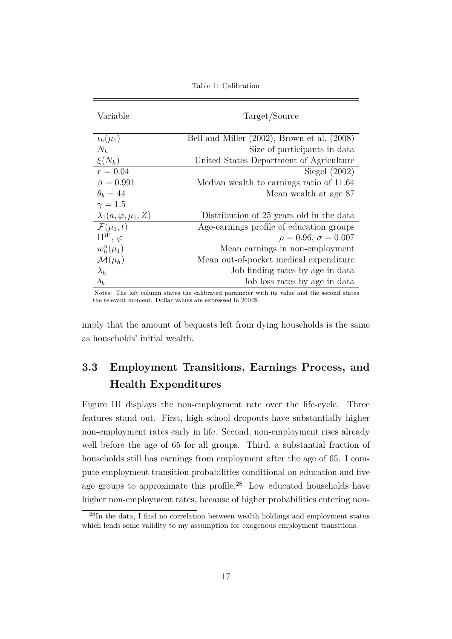| Variable                       | Target/Source                                    |
|--------------------------------|--------------------------------------------------|
| $\iota_h(\mu_1)$               | Bell and Miller $(2002)$ , Brown et al. $(2008)$ |
| $N_h$                          | Size of participants in data                     |
| $\xi(N_h)$                     | United States Department of Agriculture          |
| $r = 0.04$                     | Siegel $(2002)$                                  |
| $\beta = 0.991$                | Median wealth to earnings ratio of 11.64         |
| $\theta_h = 44$                | Mean wealth at age 87                            |
| $\gamma=1.5$                   |                                                  |
| $\lambda_1(a,\varphi,\mu_1,Z)$ | Distribution of 25 years old in the data         |
| $\mathcal{F}(\mu_1,t)$         | Age-earnings profile of education groups         |
| $\Pi^W, \varphi$               | $\rho = 0.96, \sigma = 0.007$                    |
| $w_h^u(\mu_1)$                 | Mean earnings in non-employment                  |
| $\mathcal{M}(\mu_h)$           | Mean out-of-pocket medical expenditure           |
| $\lambda_h$                    | Job finding rates by age in data                 |
| $\delta_h$                     | Job loss rates by age in data                    |

Table 1: Calibration

Notes: The left column states the calibrated parameter with its value and the second states the relevant moment. Dollar values are expressed in 2004\$.

imply that the amount of bequests left from dying households is the same as households' initial wealth.

# **3.3 Employment Transitions, Earnings Process, and Health Expenditures**

Figure III displays the non-employment rate over the life-cycle. Three features stand out. First, high school dropouts have substantially higher non-employment rates early in life. Second, non-employment rises already well before the age of 65 for all groups. Third, a substantial fraction of households still has earnings from employment after the age of 65. I compute employment transition probabilities conditional on education and five age groups to approximate this profile.<sup>28</sup> Low educated households have higher non-employment rates, because of higher probabilities entering non-

<sup>28</sup>In the data, I find no correlation between wealth holdings and employment status which lends some validity to my assumption for exogenous employment transitions.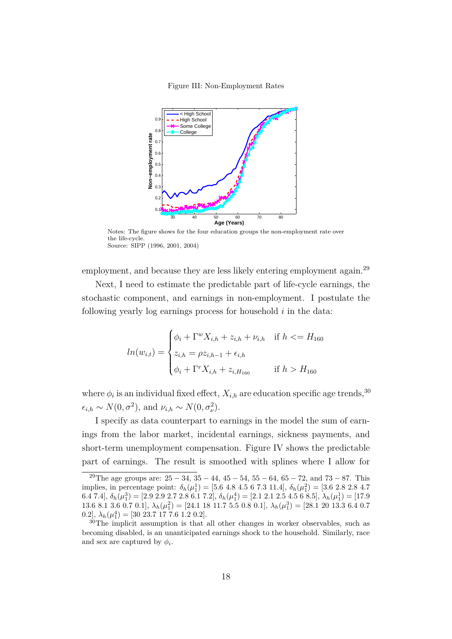Figure III: Non-Employment Rates



Notes: The figure shows for the four education groups the non-employment rate over the life-cycle. Source: SIPP (1996, 2001, 2004)

employment, and because they are less likely entering employment again.<sup>29</sup>

Next, I need to estimate the predictable part of life-cycle earnings, the stochastic component, and earnings in non-employment. I postulate the following yearly log earnings process for household *i* in the data:

$$
ln(w_{i,t}) = \begin{cases} \phi_i + \Gamma^w X_{i,h} + z_{i,h} + \nu_{i,h} & \text{if } h < = H_{160} \\ z_{i,h} = \rho z_{i,h-1} + \epsilon_{i,h} \\ \phi_i + \Gamma^r X_{i,h} + z_{i,H_{160}} & \text{if } h > H_{160} \end{cases}
$$

where  $\phi_i$  is an individual fixed effect,  $X_{i,h}$  are education specific age trends,<sup>30</sup>  $\epsilon_{i,h} \sim N(0, \sigma^2)$ , and  $\nu_{i,h} \sim N(0, \sigma^2_{\nu})$ .

I specify as data counterpart to earnings in the model the sum of earnings from the labor market, incidental earnings, sickness payments, and short-term unemployment compensation. Figure IV shows the predictable part of earnings. The result is smoothed with splines where I allow for

<sup>&</sup>lt;sup>29</sup>The age groups are:  $25 - 34$ ,  $35 - 44$ ,  $45 - 54$ ,  $55 - 64$ ,  $65 - 72$ , and  $73 - 87$ . This implies, in percentage point:  $\delta_h(\mu_1^1) = [5.6 \ 4.8 \ 4.5 \ 6 \ 7.3 \ 11.4], \delta_h(\mu_1^2) = [3.6 \ 2.8 \ 2.8 \ 4.7$ 6.4 7.4], *δh*(*µ* 3 1 ) = [2.9 2.9 2.7 2.8 6.1 7.2], *δh*(*µ* 4 1 ) = [2.1 2.1 2.5 4.5 6 8.5], *λh*(*µ* 1 1 ) = [17.9 13.6 8.1 3.6 0.7 0.1],  $\lambda_h(\mu_1^2) = [24.1 \ 18 \ 11.7 \ 5.5 \ 0.8 \ 0.1]$ ,  $\lambda_h(\mu_1^3) = [28.1 \ 20 \ 13.3 \ 6.4 \ 0.7$ 0.2],  $\lambda_h(\mu_1^4) = [30\ 23.7\ 17\ 7.6\ 1.2\ 0.2]$ .

<sup>&</sup>lt;sup>30</sup>The implicit assumption is that all other changes in worker observables, such as becoming disabled, is an unanticipated earnings shock to the household. Similarly, race and sex are captured by  $\phi_i$ .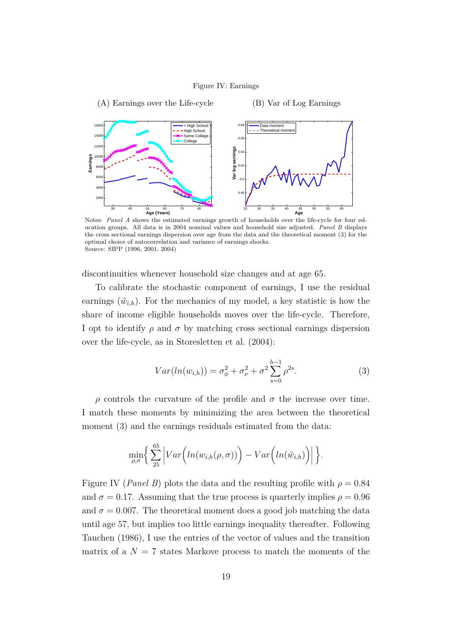#### Figure IV: Earnings



Notes: *Panel A* shows the estimated earnings growth of households over the life-cycle for four education groups. All data is in 2004 nominal values and household size adjusted. *Panel B* displays the cross sectional earnings dispersion over age from the data and the theoretical moment (3) for the optimal choice of autocorrelation and variance of earnings shocks. Source: SIPP (1996, 2001, 2004)

discontinuities whenever household size changes and at age 65.

To calibrate the stochastic component of earnings, I use the residual earnings  $(\tilde{w}_{i,h})$ . For the mechanics of my model, a key statistic is how the share of income eligible households moves over the life-cycle. Therefore, I opt to identify  $\rho$  and  $\sigma$  by matching cross sectional earnings dispersion over the life-cycle, as in Storesletten et al. (2004):

$$
Var(ln(w_{i,h})) = \sigma_{\phi}^{2} + \sigma_{\nu}^{2} + \sigma^{2} \sum_{s=0}^{h-1} \rho^{2s}.
$$
 (3)

*ρ* controls the curvature of the profile and *σ* the increase over time. I match these moments by minimizing the area between the theoretical moment  $(3)$  and the earnings residuals estimated from the data:

$$
\min_{\rho,\sigma}\bigg\{\sum_{25}^{65}\Big|Var\Big(ln(w_{i,h}(\rho,\sigma))\Big)-Var\Big(ln(\tilde{w}_{i,h})\Big)\Big|\bigg\}.
$$

Figure IV (*Panel B*) plots the data and the resulting profile with  $\rho = 0.84$ and  $\sigma = 0.17$ . Assuming that the true process is quarterly implies  $\rho = 0.96$ and  $\sigma = 0.007$ . The theoretical moment does a good job matching the data until age 57, but implies too little earnings inequality thereafter. Following Tauchen (1986), I use the entries of the vector of values and the transition matrix of a  $N = 7$  states Markove process to match the moments of the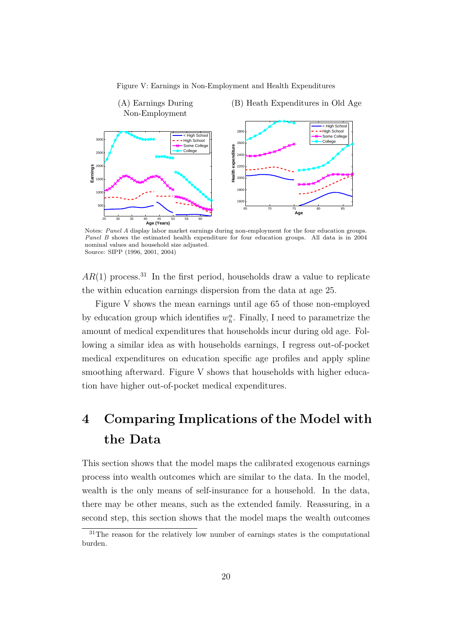



Notes: *Panel A* display labor market earnings during non-employment for the four education groups. *Panel B* shows the estimated health expenditure for four education groups. All data is in 2004 nominal values and household size adjusted. Source: SIPP (1996, 2001, 2004)

 $AR(1)$  process.<sup>31</sup> In the first period, households draw a value to replicate the within education earnings dispersion from the data at age 25.

Figure V shows the mean earnings until age 65 of those non-employed by education group which identifies  $w_h^u$ . Finally, I need to parametrize the amount of medical expenditures that households incur during old age. Following a similar idea as with households earnings, I regress out-of-pocket medical expenditures on education specific age profiles and apply spline smoothing afterward. Figure V shows that households with higher education have higher out-of-pocket medical expenditures.

# **4 Comparing Implications of the Model with the Data**

This section shows that the model maps the calibrated exogenous earnings process into wealth outcomes which are similar to the data. In the model, wealth is the only means of self-insurance for a household. In the data, there may be other means, such as the extended family. Reassuring, in a second step, this section shows that the model maps the wealth outcomes

<sup>&</sup>lt;sup>31</sup>The reason for the relatively low number of earnings states is the computational burden.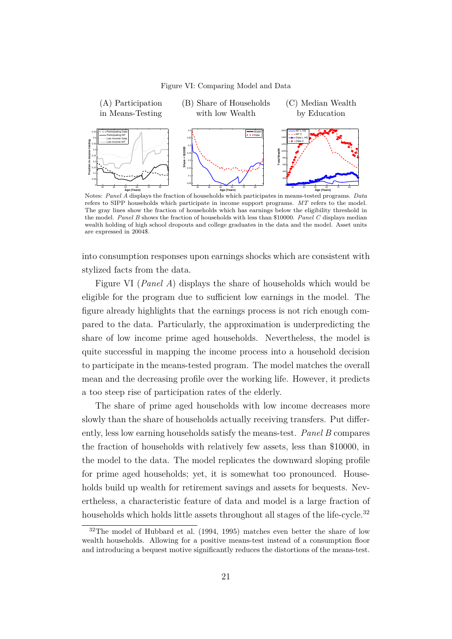

Figure VI: Comparing Model and Data

Notes: *Panel A* displays the fraction of households which participates in means-tested programs. *Data* refers to SIPP households which participate in income support programs. *MT* refers to the model. The gray lines show the fraction of households which has earnings below the eligibility threshold in the model. *Panel B* shows the fraction of households with less than \$10000. *Panel C* displays median wealth holding of high school dropouts and college graduates in the data and the model. Asset units are expressed in 2004\$.

into consumption responses upon earnings shocks which are consistent with stylized facts from the data.

Figure VI (*Panel A*) displays the share of households which would be eligible for the program due to sufficient low earnings in the model. The figure already highlights that the earnings process is not rich enough compared to the data. Particularly, the approximation is underpredicting the share of low income prime aged households. Nevertheless, the model is quite successful in mapping the income process into a household decision to participate in the means-tested program. The model matches the overall mean and the decreasing profile over the working life. However, it predicts a too steep rise of participation rates of the elderly.

The share of prime aged households with low income decreases more slowly than the share of households actually receiving transfers. Put differently, less low earning households satisfy the means-test. *Panel B* compares the fraction of households with relatively few assets, less than \$10000, in the model to the data. The model replicates the downward sloping profile for prime aged households; yet, it is somewhat too pronounced. Households build up wealth for retirement savings and assets for bequests. Nevertheless, a characteristic feature of data and model is a large fraction of households which holds little assets throughout all stages of the life-cycle.<sup>32</sup>

<sup>32</sup>The model of Hubbard et al. (1994, 1995) matches even better the share of low wealth households. Allowing for a positive means-test instead of a consumption floor and introducing a bequest motive significantly reduces the distortions of the means-test.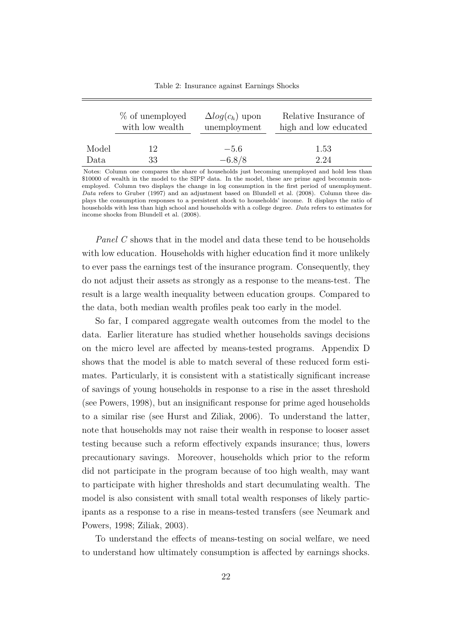|       | % of unemployed | $\Delta log(c_h)$ upon | Relative Insurance of |
|-------|-----------------|------------------------|-----------------------|
|       | with low wealth | unemployment           | high and low educated |
| Model | 12              | $-5.6$                 | 1.53                  |
| Data  | 33              | $-6.8/8$               | 2.24                  |

Table 2: Insurance against Earnings Shocks

Notes: Column one compares the share of households just becoming unemployed and hold less than \$10000 of wealth in the model to the SIPP data. In the model, these are prime aged becommin nonemployed. Column two displays the change in log consumption in the first period of unemployment. *Data* refers to Gruber (1997) and an adjustment based on Blundell et al. (2008). Column three displays the consumption responses to a persistent shock to households' income. It displays the ratio of households with less than high school and households with a college degree. *Data* refers to estimates for income shocks from Blundell et al. (2008).

*Panel C* shows that in the model and data these tend to be households with low education. Households with higher education find it more unlikely to ever pass the earnings test of the insurance program. Consequently, they do not adjust their assets as strongly as a response to the means-test. The result is a large wealth inequality between education groups. Compared to the data, both median wealth profiles peak too early in the model.

So far, I compared aggregate wealth outcomes from the model to the data. Earlier literature has studied whether households savings decisions on the micro level are affected by means-tested programs. Appendix D shows that the model is able to match several of these reduced form estimates. Particularly, it is consistent with a statistically significant increase of savings of young households in response to a rise in the asset threshold (see Powers, 1998), but an insignificant response for prime aged households to a similar rise (see Hurst and Ziliak, 2006). To understand the latter, note that households may not raise their wealth in response to looser asset testing because such a reform effectively expands insurance; thus, lowers precautionary savings. Moreover, households which prior to the reform did not participate in the program because of too high wealth, may want to participate with higher thresholds and start decumulating wealth. The model is also consistent with small total wealth responses of likely participants as a response to a rise in means-tested transfers (see Neumark and Powers, 1998; Ziliak, 2003).

To understand the effects of means-testing on social welfare, we need to understand how ultimately consumption is affected by earnings shocks.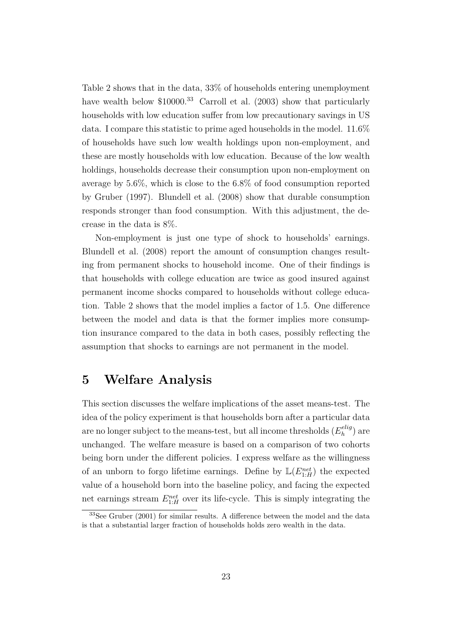Table 2 shows that in the data, 33% of households entering unemployment have wealth below \$10000.<sup>33</sup> Carroll et al. (2003) show that particularly households with low education suffer from low precautionary savings in US data. I compare this statistic to prime aged households in the model. 11.6% of households have such low wealth holdings upon non-employment, and these are mostly households with low education. Because of the low wealth holdings, households decrease their consumption upon non-employment on average by 5.6%, which is close to the 6.8% of food consumption reported by Gruber (1997). Blundell et al. (2008) show that durable consumption responds stronger than food consumption. With this adjustment, the decrease in the data is 8%.

Non-employment is just one type of shock to households' earnings. Blundell et al. (2008) report the amount of consumption changes resulting from permanent shocks to household income. One of their findings is that households with college education are twice as good insured against permanent income shocks compared to households without college education. Table 2 shows that the model implies a factor of 1*.*5. One difference between the model and data is that the former implies more consumption insurance compared to the data in both cases, possibly reflecting the assumption that shocks to earnings are not permanent in the model.

### **5 Welfare Analysis**

This section discusses the welfare implications of the asset means-test. The idea of the policy experiment is that households born after a particular data are no longer subject to the means-test, but all income thresholds  $(E_h^{elig})$  $\binom{elig}{h}$  are unchanged. The welfare measure is based on a comparison of two cohorts being born under the different policies. I express welfare as the willingness of an unborn to forgo lifetime earnings. Define by  $\mathbb{L}(E_{1:H}^{net})$  the expected value of a household born into the baseline policy, and facing the expected net earnings stream  $E_{1:H}^{net}$  over its life-cycle. This is simply integrating the

<sup>&</sup>lt;sup>33</sup>See Gruber (2001) for similar results. A difference between the model and the data is that a substantial larger fraction of households holds zero wealth in the data.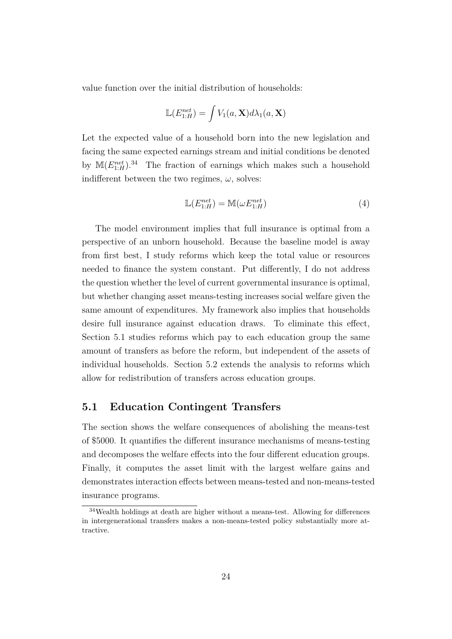value function over the initial distribution of households:

$$
\mathbb{L}(E_{1:H}^{net}) = \int V_1(a, \mathbf{X}) d\lambda_1(a, \mathbf{X})
$$

Let the expected value of a household born into the new legislation and facing the same expected earnings stream and initial conditions be denoted by  $\mathbb{M}(E_{1:H}^{net})$ .<sup>34</sup> The fraction of earnings which makes such a household indifferent between the two regimes,  $\omega$ , solves:

$$
\mathbb{L}(E_{1:H}^{net}) = \mathbb{M}(\omega E_{1:H}^{net})
$$
\n(4)

The model environment implies that full insurance is optimal from a perspective of an unborn household. Because the baseline model is away from first best, I study reforms which keep the total value or resources needed to finance the system constant. Put differently, I do not address the question whether the level of current governmental insurance is optimal, but whether changing asset means-testing increases social welfare given the same amount of expenditures. My framework also implies that households desire full insurance against education draws. To eliminate this effect, Section 5.1 studies reforms which pay to each education group the same amount of transfers as before the reform, but independent of the assets of individual households. Section 5.2 extends the analysis to reforms which allow for redistribution of transfers across education groups.

#### **5.1 Education Contingent Transfers**

The section shows the welfare consequences of abolishing the means-test of \$5000. It quantifies the different insurance mechanisms of means-testing and decomposes the welfare effects into the four different education groups. Finally, it computes the asset limit with the largest welfare gains and demonstrates interaction effects between means-tested and non-means-tested insurance programs.

<sup>34</sup>Wealth holdings at death are higher without a means-test. Allowing for differences in intergenerational transfers makes a non-means-tested policy substantially more attractive.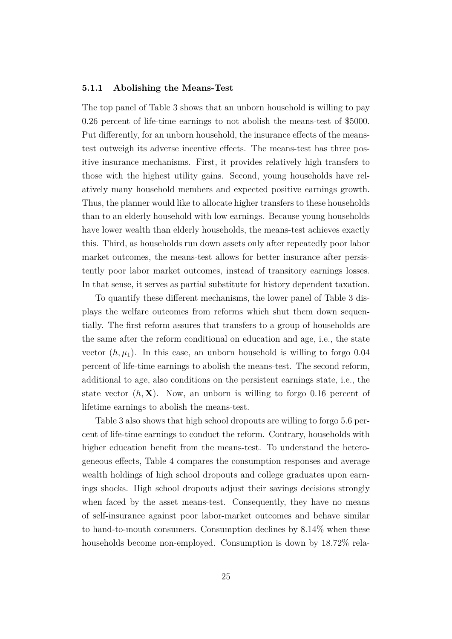#### **5.1.1 Abolishing the Means-Test**

The top panel of Table 3 shows that an unborn household is willing to pay 0.26 percent of life-time earnings to not abolish the means-test of \$5000. Put differently, for an unborn household, the insurance effects of the meanstest outweigh its adverse incentive effects. The means-test has three positive insurance mechanisms. First, it provides relatively high transfers to those with the highest utility gains. Second, young households have relatively many household members and expected positive earnings growth. Thus, the planner would like to allocate higher transfers to these households than to an elderly household with low earnings. Because young households have lower wealth than elderly households, the means-test achieves exactly this. Third, as households run down assets only after repeatedly poor labor market outcomes, the means-test allows for better insurance after persistently poor labor market outcomes, instead of transitory earnings losses. In that sense, it serves as partial substitute for history dependent taxation.

To quantify these different mechanisms, the lower panel of Table 3 displays the welfare outcomes from reforms which shut them down sequentially. The first reform assures that transfers to a group of households are the same after the reform conditional on education and age, i.e., the state vector  $(h, \mu_1)$ . In this case, an unborn household is willing to forgo 0.04 percent of life-time earnings to abolish the means-test. The second reform, additional to age, also conditions on the persistent earnings state, i.e., the state vector  $(h, X)$ . Now, an unborn is willing to forgo 0.16 percent of lifetime earnings to abolish the means-test.

Table 3 also shows that high school dropouts are willing to forgo 5.6 percent of life-time earnings to conduct the reform. Contrary, households with higher education benefit from the means-test. To understand the heterogeneous effects, Table 4 compares the consumption responses and average wealth holdings of high school dropouts and college graduates upon earnings shocks. High school dropouts adjust their savings decisions strongly when faced by the asset means-test. Consequently, they have no means of self-insurance against poor labor-market outcomes and behave similar to hand-to-mouth consumers. Consumption declines by 8*.*14% when these households become non-employed. Consumption is down by 18*.*72% rela-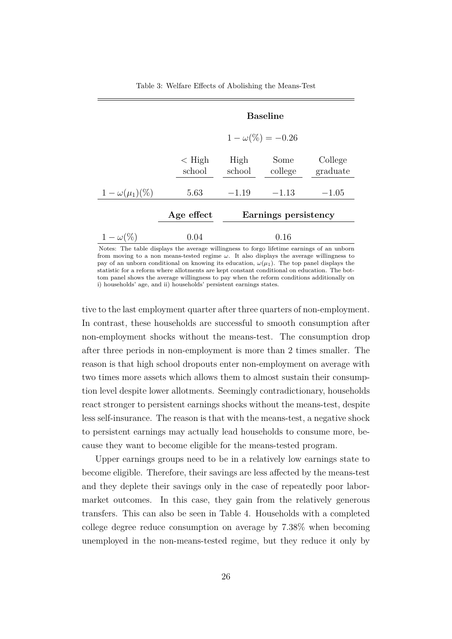|                       | <b>Baseline</b>          |                      |                 |                     |  |
|-----------------------|--------------------------|----------------------|-----------------|---------------------|--|
|                       | $1 - \omega(\%) = -0.26$ |                      |                 |                     |  |
|                       | $\rm <$ High<br>school   | High<br>school       | Some<br>college | College<br>graduate |  |
| $1-\omega(\mu_1)(\%)$ | 5.63                     | $-1.19$              | $-1.13$         | $-1.05$             |  |
|                       | Age effect               | Earnings persistency |                 |                     |  |
| $1-\omega(\%)$        | 0.04                     |                      | 0.16            |                     |  |

Table 3: Welfare Effects of Abolishing the Means-Test

Notes: The table displays the average willingness to forgo lifetime earnings of an unborn from moving to a non means-tested regime *ω*. It also displays the average willingness to pay of an unborn conditional on knowing its education,  $\omega(\mu_1)$ . The top panel displays the statistic for a reform where allotments are kept constant conditional on education. The bottom panel shows the average willingness to pay when the reform conditions additionally on i) households' age, and ii) households' persistent earnings states.

tive to the last employment quarter after three quarters of non-employment. In contrast, these households are successful to smooth consumption after non-employment shocks without the means-test. The consumption drop after three periods in non-employment is more than 2 times smaller. The reason is that high school dropouts enter non-employment on average with two times more assets which allows them to almost sustain their consumption level despite lower allotments. Seemingly contradictionary, households react stronger to persistent earnings shocks without the means-test, despite less self-insurance. The reason is that with the means-test, a negative shock to persistent earnings may actually lead households to consume more, because they want to become eligible for the means-tested program.

Upper earnings groups need to be in a relatively low earnings state to become eligible. Therefore, their savings are less affected by the means-test and they deplete their savings only in the case of repeatedly poor labormarket outcomes. In this case, they gain from the relatively generous transfers. This can also be seen in Table 4. Households with a completed college degree reduce consumption on average by 7*.*38% when becoming unemployed in the non-means-tested regime, but they reduce it only by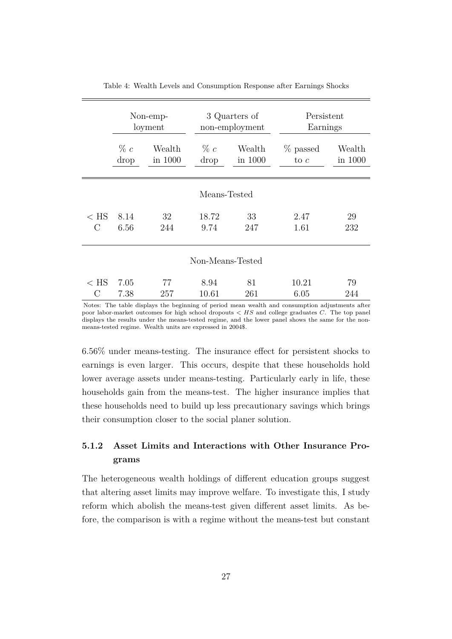|                  | Non-emp- |         | 3 Quarters of  |         | Persistent |         |  |
|------------------|----------|---------|----------------|---------|------------|---------|--|
|                  | loyment  |         | non-employment |         | Earnings   |         |  |
|                  | $\% c$   | Wealth  | $\% c$         | Wealth  | % passed   | Wealth  |  |
|                  | drop     | in 1000 | drop           | in 1000 | to $c$     | in 1000 |  |
| Means-Tested     |          |         |                |         |            |         |  |
| $\rm < HS$       | 8.14     | 32      | 18.72          | 33      | 2.47       | 29      |  |
| $\rm C$          | 6.56     | 244     | 9.74           | 247     | 1.61       | 232     |  |
| Non-Means-Tested |          |         |                |         |            |         |  |
| $<$ HS           | 7.05     | 77      | 8.94           | 81      | 10.21      | 79      |  |
| С                | 7.38     | 257     | 10.61          | 261     | 6.05       | 244     |  |

Table 4: Wealth Levels and Consumption Response after Earnings Shocks

Notes: The table displays the beginning of period mean wealth and consumption adjustments after poor labor-market outcomes for high school dropouts *< HS* and college graduates *C*. The top panel displays the results under the means-tested regime, and the lower panel shows the same for the nonmeans-tested regime. Wealth units are expressed in 2004\$.

6*.*56% under means-testing. The insurance effect for persistent shocks to earnings is even larger. This occurs, despite that these households hold lower average assets under means-testing. Particularly early in life, these households gain from the means-test. The higher insurance implies that these households need to build up less precautionary savings which brings their consumption closer to the social planer solution.

### **5.1.2 Asset Limits and Interactions with Other Insurance Programs**

The heterogeneous wealth holdings of different education groups suggest that altering asset limits may improve welfare. To investigate this, I study reform which abolish the means-test given different asset limits. As before, the comparison is with a regime without the means-test but constant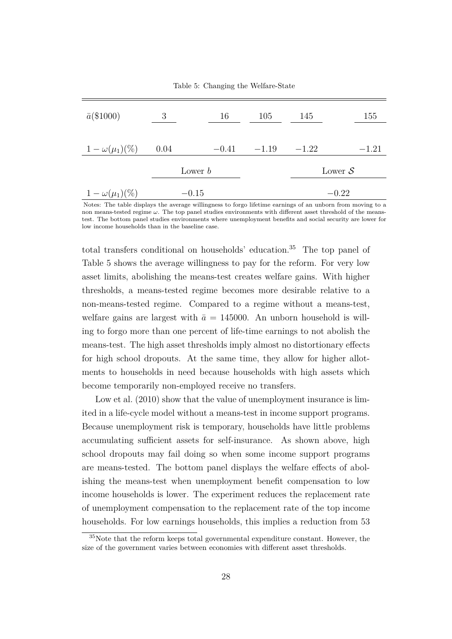Table 5: Changing the Welfare-State

| $\bar{a}$ (\$1000)      | 3    | 16        | 105           | 145     | 155                |
|-------------------------|------|-----------|---------------|---------|--------------------|
| $1 - \omega(\mu_1)(\%)$ | 0.04 |           | $-0.41 -1.19$ | $-1.22$ | $-1.21$            |
|                         |      | Lower $b$ |               |         | Lower $\mathcal S$ |
| $1 - \omega(\mu_1)(\%)$ |      | $-0.15$   |               |         | $-0.22$            |

Notes: The table displays the average willingness to forgo lifetime earnings of an unborn from moving to a non means-tested regime *ω*. The top panel studies environments with different asset threshold of the meanstest. The bottom panel studies environments where unemployment benefits and social security are lower for low income households than in the baseline case.

total transfers conditional on households' education.<sup>35</sup> The top panel of Table 5 shows the average willingness to pay for the reform. For very low asset limits, abolishing the means-test creates welfare gains. With higher thresholds, a means-tested regime becomes more desirable relative to a non-means-tested regime. Compared to a regime without a means-test, welfare gains are largest with  $\bar{a} = 145000$ . An unborn household is willing to forgo more than one percent of life-time earnings to not abolish the means-test. The high asset thresholds imply almost no distortionary effects for high school dropouts. At the same time, they allow for higher allotments to households in need because households with high assets which become temporarily non-employed receive no transfers.

Low et al.  $(2010)$  show that the value of unemployment insurance is limited in a life-cycle model without a means-test in income support programs. Because unemployment risk is temporary, households have little problems accumulating sufficient assets for self-insurance. As shown above, high school dropouts may fail doing so when some income support programs are means-tested. The bottom panel displays the welfare effects of abolishing the means-test when unemployment benefit compensation to low income households is lower. The experiment reduces the replacement rate of unemployment compensation to the replacement rate of the top income households. For low earnings households, this implies a reduction from 53

<sup>35</sup>Note that the reform keeps total governmental expenditure constant. However, the size of the government varies between economies with different asset thresholds.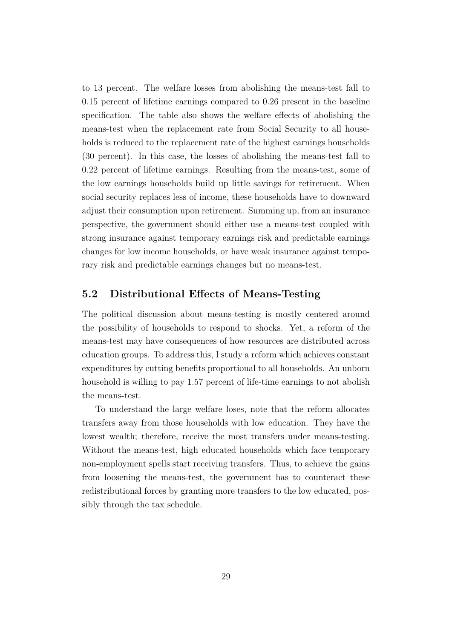to 13 percent. The welfare losses from abolishing the means-test fall to 0*.*15 percent of lifetime earnings compared to 0*.*26 present in the baseline specification. The table also shows the welfare effects of abolishing the means-test when the replacement rate from Social Security to all households is reduced to the replacement rate of the highest earnings households (30 percent). In this case, the losses of abolishing the means-test fall to 0*.*22 percent of lifetime earnings. Resulting from the means-test, some of the low earnings households build up little savings for retirement. When social security replaces less of income, these households have to downward adjust their consumption upon retirement. Summing up, from an insurance perspective, the government should either use a means-test coupled with strong insurance against temporary earnings risk and predictable earnings changes for low income households, or have weak insurance against temporary risk and predictable earnings changes but no means-test.

#### **5.2 Distributional Effects of Means-Testing**

The political discussion about means-testing is mostly centered around the possibility of households to respond to shocks. Yet, a reform of the means-test may have consequences of how resources are distributed across education groups. To address this, I study a reform which achieves constant expenditures by cutting benefits proportional to all households. An unborn household is willing to pay 1.57 percent of life-time earnings to not abolish the means-test.

To understand the large welfare loses, note that the reform allocates transfers away from those households with low education. They have the lowest wealth; therefore, receive the most transfers under means-testing. Without the means-test, high educated households which face temporary non-employment spells start receiving transfers. Thus, to achieve the gains from loosening the means-test, the government has to counteract these redistributional forces by granting more transfers to the low educated, possibly through the tax schedule.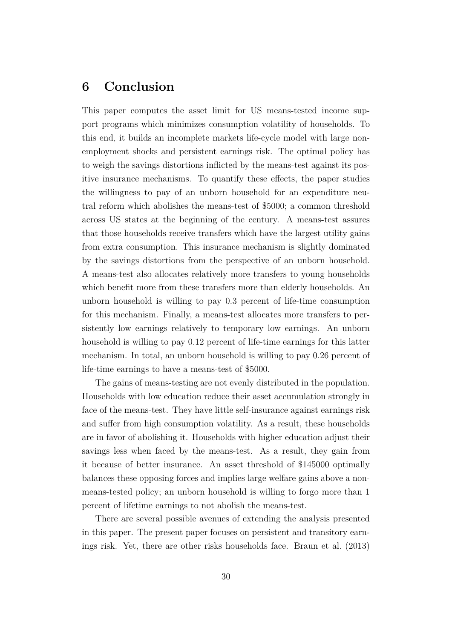# **6 Conclusion**

This paper computes the asset limit for US means-tested income support programs which minimizes consumption volatility of households. To this end, it builds an incomplete markets life-cycle model with large nonemployment shocks and persistent earnings risk. The optimal policy has to weigh the savings distortions inflicted by the means-test against its positive insurance mechanisms. To quantify these effects, the paper studies the willingness to pay of an unborn household for an expenditure neutral reform which abolishes the means-test of \$5000; a common threshold across US states at the beginning of the century. A means-test assures that those households receive transfers which have the largest utility gains from extra consumption. This insurance mechanism is slightly dominated by the savings distortions from the perspective of an unborn household. A means-test also allocates relatively more transfers to young households which benefit more from these transfers more than elderly households. An unborn household is willing to pay 0.3 percent of life-time consumption for this mechanism. Finally, a means-test allocates more transfers to persistently low earnings relatively to temporary low earnings. An unborn household is willing to pay 0*.*12 percent of life-time earnings for this latter mechanism. In total, an unborn household is willing to pay 0.26 percent of life-time earnings to have a means-test of \$5000.

The gains of means-testing are not evenly distributed in the population. Households with low education reduce their asset accumulation strongly in face of the means-test. They have little self-insurance against earnings risk and suffer from high consumption volatility. As a result, these households are in favor of abolishing it. Households with higher education adjust their savings less when faced by the means-test. As a result, they gain from it because of better insurance. An asset threshold of \$145000 optimally balances these opposing forces and implies large welfare gains above a nonmeans-tested policy; an unborn household is willing to forgo more than 1 percent of lifetime earnings to not abolish the means-test.

There are several possible avenues of extending the analysis presented in this paper. The present paper focuses on persistent and transitory earnings risk. Yet, there are other risks households face. Braun et al. (2013)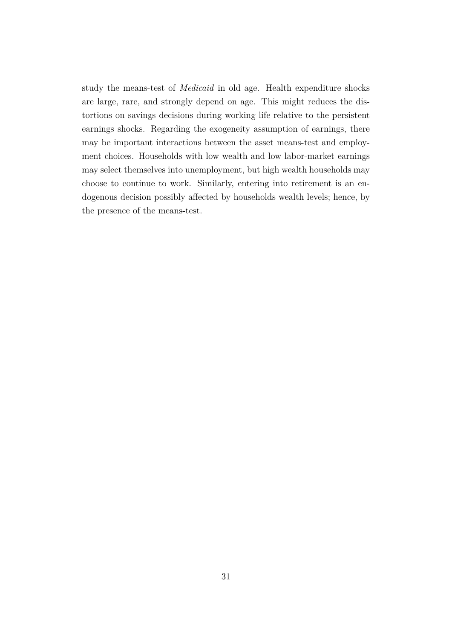study the means-test of *Medicaid* in old age. Health expenditure shocks are large, rare, and strongly depend on age. This might reduces the distortions on savings decisions during working life relative to the persistent earnings shocks. Regarding the exogeneity assumption of earnings, there may be important interactions between the asset means-test and employment choices. Households with low wealth and low labor-market earnings may select themselves into unemployment, but high wealth households may choose to continue to work. Similarly, entering into retirement is an endogenous decision possibly affected by households wealth levels; hence, by the presence of the means-test.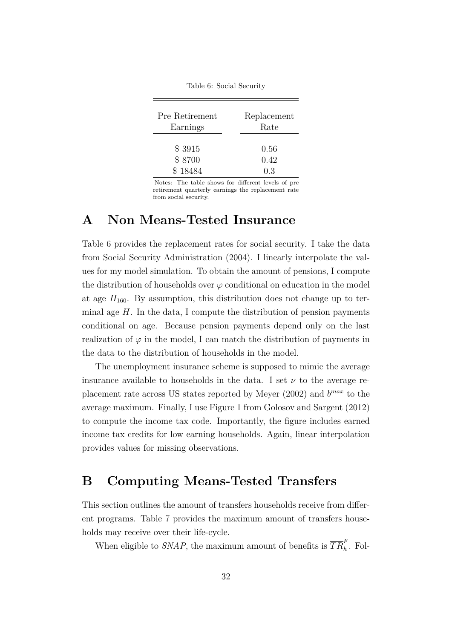Table 6: Social Security

| Pre Retirement | Replacement |
|----------------|-------------|
| Earnings       | Rate        |
| \$3915         | 0.56        |
| \$8700         | 0.42        |
| \$18484        | 0.3         |

Notes: The table shows for different levels of pre retirement quarterly earnings the replacement rate from social security.

### **A Non Means-Tested Insurance**

Table 6 provides the replacement rates for social security. I take the data from Social Security Administration (2004). I linearly interpolate the values for my model simulation. To obtain the amount of pensions, I compute the distribution of households over  $\varphi$  conditional on education in the model at age  $H_{160}$ . By assumption, this distribution does not change up to terminal age *H*. In the data, I compute the distribution of pension payments conditional on age. Because pension payments depend only on the last realization of  $\varphi$  in the model, I can match the distribution of payments in the data to the distribution of households in the model.

The unemployment insurance scheme is supposed to mimic the average insurance available to households in the data. I set  $\nu$  to the average replacement rate across US states reported by Meyer (2002) and *b max* to the average maximum. Finally, I use Figure 1 from Golosov and Sargent (2012) to compute the income tax code. Importantly, the figure includes earned income tax credits for low earning households. Again, linear interpolation provides values for missing observations.

## **B Computing Means-Tested Transfers**

This section outlines the amount of transfers households receive from different programs. Table 7 provides the maximum amount of transfers households may receive over their life-cycle.

When eligible to *SNAP*, the maximum amount of benefits is  $\overline{TR}_h^F$ . Fol-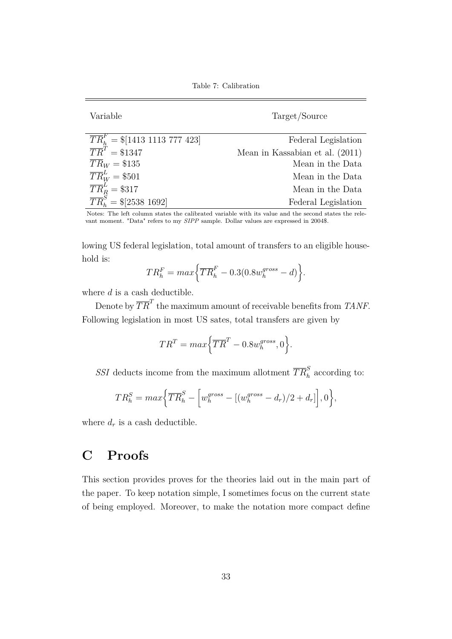Table 7: Calibration

Variable Target/Source

| $\overline{TR}_h^F = \frac{1}{413} 1113 777 423$ | Federal Legislation             |
|--------------------------------------------------|---------------------------------|
| $\overline{TR}^T = $1347$                        | Mean in Kassabian et al. (2011) |
| $\overline{TR}_W = $135$                         | Mean in the Data                |
| $\overline{TR}_W^L$ = \$501                      | Mean in the Data                |
| $\overline{TR}_R^L$ = \$317                      | Mean in the Data                |
| $\overline{TR}_{h}^{S} = \{\$[2538 1692]$        | Federal Legislation             |

Notes: The left column states the calibrated variable with its value and the second states the relevant moment. "Data" refers to my *SIPP* sample. Dollar values are expressed in 2004\$.

lowing US federal legislation, total amount of transfers to an eligible household is:

$$
TR_h^F = max \left\{ \overline{TR}_h^F - 0.3(0.8 w_h^{gross} - d) \right\}.
$$

where *d* is a cash deductible.

Denote by  $\overline{TR}^T$  the maximum amount of receivable benefits from *TANF*. Following legislation in most US sates, total transfers are given by

$$
TR^T = max\Big\{\overline{TR}^T - 0.8w_h^{gross}, 0\Big\}.
$$

*SSI* deducts income from the maximum allotment  $\overline{TR}_h^S$  according to:

$$
TR_h^S = max \Big\{ \overline{TR}_h^S - \Big[ w_h^{gross} - \big[ (w_h^{gross} - d_r)/2 + d_r \big] \Big], 0 \Big\},
$$

where  $d_r$  is a cash deductible.

# **C Proofs**

This section provides proves for the theories laid out in the main part of the paper. To keep notation simple, I sometimes focus on the current state of being employed. Moreover, to make the notation more compact define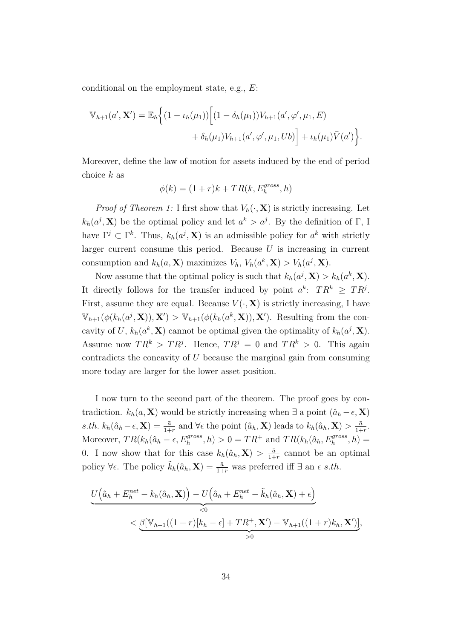conditional on the employment state, e.g., *E*:

$$
\mathbb{V}_{h+1}(a', \mathbf{X}') = \mathbb{E}_h \Big\{ (1 - \iota_h(\mu_1)) \Big[ (1 - \delta_h(\mu_1)) V_{h+1}(a', \varphi', \mu_1, E) \\ + \delta_h(\mu_1) V_{h+1}(a', \varphi', \mu_1, Ub) \Big] + \iota_h(\mu_1) \overline{V}(a') \Big\}.
$$

Moreover, define the law of motion for assets induced by the end of period choice *k* as

$$
\phi(k) = (1+r)k + TR(k, E_h^{gross}, h)
$$

*Proof of Theorem 1:* I first show that  $V_h(\cdot, \mathbf{X})$  is strictly increasing. Let  $k_h(a^j, \mathbf{X})$  be the optimal policy and let  $a^k > a^j$ . By the definition of Γ, I have  $\Gamma^j \subset \Gamma^k$ . Thus,  $k_h(a^j, \mathbf{X})$  is an admissible policy for  $a^k$  with strictly larger current consume this period. Because *U* is increasing in current consumption and  $k_h(a, \mathbf{X})$  maximizes  $V_h$ ,  $V_h(a^k, \mathbf{X}) > V_h(a^j, \mathbf{X})$ .

Now assume that the optimal policy is such that  $k_h(a^j, \mathbf{X}) > k_h(a^k, \mathbf{X})$ . It directly follows for the transfer induced by point  $a^k$ :  $TR^k \geq TR^j$ . First, assume they are equal. Because  $V(\cdot, \mathbf{X})$  is strictly increasing, I have  $\mathbb{V}_{h+1}(\phi(k_h(a^j,\mathbf{X})),\mathbf{X}') > \mathbb{V}_{h+1}(\phi(k_h(a^k,\mathbf{X})),\mathbf{X}')$ . Resulting from the concavity of *U*,  $k_h(a^k, \mathbf{X})$  cannot be optimal given the optimality of  $k_h(a^j, \mathbf{X})$ . Assume now  $TR^k > TR^j$ . Hence,  $TR^j = 0$  and  $TR^k > 0$ . This again contradicts the concavity of *U* because the marginal gain from consuming more today are larger for the lower asset position.

I now turn to the second part of the theorem. The proof goes by contradiction.  $k_h(a, \mathbf{X})$  would be strictly increasing when  $\exists$  a point  $(\hat{a}_h - \epsilon, \mathbf{X})$  $s.th. k_h(\hat{a}_h - \epsilon, \mathbf{X}) = \frac{\bar{a}}{1+r}$  and  $\forall \epsilon$  the point  $(\hat{a}_h, \mathbf{X})$  leads to  $k_h(\hat{a}_h, \mathbf{X}) > \frac{\bar{a}}{1+r}$  $\frac{\bar{a}}{1+r}$ . Moreover,  $TR(k_h(\hat{a}_h - \epsilon, E_h^{gross}, h) > 0 = TR^+ \text{ and } TR(k_h(\hat{a}_h, E_h^{gross}, h) =$ 0. I now show that for this case  $k_h(\hat{a}_h, \mathbf{X}) > \frac{\bar{a}}{1+\bar{a}}$  $\frac{a}{1+r}$  cannot be an optimal policy  $\forall \epsilon$ . The policy  $\tilde{k}_h(\hat{a}_h, \mathbf{X}) = \frac{\bar{a}}{1+r}$  was preferred iff  $\exists$  an  $\epsilon$  *s.th.* 

$$
\underbrace{U(\hat{a}_h + E_h^{net} - k_h(\hat{a}_h, \mathbf{X})) - U(\hat{a}_h + E_h^{net} - \tilde{k}_h(\hat{a}_h, \mathbf{X}) + \epsilon)}_{< 0}
$$
\n
$$
< \underbrace{\beta[\mathbb{V}_{h+1}((1+r)[k_h - \epsilon] + TR^+, \mathbf{X}') - \mathbb{V}_{h+1}((1+r)k_h, \mathbf{X}')]}_{> 0},
$$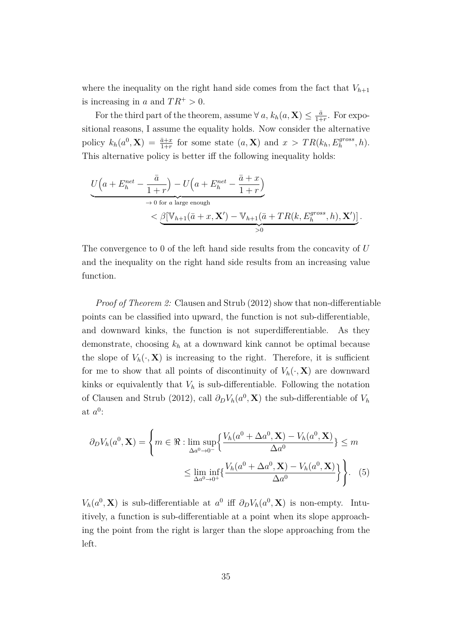where the inequality on the right hand side comes from the fact that  $V_{h+1}$ is increasing in *a* and  $TR^+ > 0$ .

For the third part of the theorem, assume  $\forall a, k_h(a, \mathbf{X}) \leq \frac{\bar{a}}{1+\bar{a}}$  $\frac{\bar{a}}{1+r}$ . For expositional reasons, I assume the equality holds. Now consider the alternative policy  $k_h(a^0, \mathbf{X}) = \frac{\bar{a} + x}{1+r}$  for some state  $(a, \mathbf{X})$  and  $x > TR(k_h, E_h^{gross}, h)$ . This alternative policy is better iff the following inequality holds:

$$
\underbrace{U\left(a+E_h^{net} - \frac{\bar{a}}{1+r}\right) - U\left(a+E_h^{net} - \frac{\bar{a}+x}{1+r}\right)}_{\rightarrow 0 \text{ for } a \text{ large enough}} \n
$$
\underbrace{\beta[\mathbb{V}_{h+1}(\bar{a}+x,\mathbf{X}') - \mathbb{V}_{h+1}(\bar{a}+TR(k,E_h^{gross},h),\mathbf{X}')]}_{>0}.
$$
$$

The convergence to 0 of the left hand side results from the concavity of *U* and the inequality on the right hand side results from an increasing value function.

*Proof of Theorem 2:* Clausen and Strub (2012) show that non-differentiable points can be classified into upward, the function is not sub-differentiable, and downward kinks, the function is not superdifferentiable. As they demonstrate, choosing *k<sup>h</sup>* at a downward kink cannot be optimal because the slope of  $V_h(\cdot, \mathbf{X})$  is increasing to the right. Therefore, it is sufficient for me to show that all points of discontinuity of  $V_h(\cdot, \mathbf{X})$  are downward kinks or equivalently that  $V_h$  is sub-differentiable. Following the notation of Clausen and Strub (2012), call  $\partial_D V_h(a^0, \mathbf{X})$  the sub-differentiable of  $V_h$ at  $a^0$ :

$$
\partial_D V_h(a^0, \mathbf{X}) = \left\{ m \in \mathbb{R} : \lim_{\Delta a^0 \to 0^-} \left\{ \frac{V_h(a^0 + \Delta a^0, \mathbf{X}) - V_h(a^0, \mathbf{X})}{\Delta a^0} \right\} \le m \right\}
$$

$$
\le \lim_{\Delta a^0 \to 0^+} \left\{ \frac{V_h(a^0 + \Delta a^0, \mathbf{X}) - V_h(a^0, \mathbf{X})}{\Delta a^0} \right\} \right\}. \tag{5}
$$

*V*<sub>h</sub>( $a^0$ , **X**) is sub-differentiable at  $a^0$  iff  $\partial_D V_h(a^0, \mathbf{X})$  is non-empty. Intuitively, a function is sub-differentiable at a point when its slope approaching the point from the right is larger than the slope approaching from the left.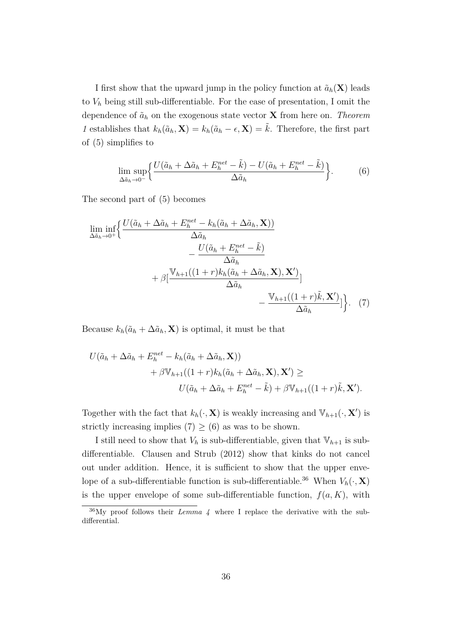I first show that the upward jump in the policy function at  $\tilde{a}_h(\mathbf{X})$  leads to *V<sup>h</sup>* being still sub-differentiable. For the ease of presentation, I omit the dependence of  $\tilde{a}_h$  on the exogenous state vector **X** from here on. *Theorem 1* establishes that  $k_h(\tilde{a}_h, \mathbf{X}) = k_h(\tilde{a}_h - \epsilon, \mathbf{X}) = \tilde{k}$ . Therefore, the first part of (5) simplifies to

$$
\lim_{\Delta \tilde{a}_h \to 0^-} \left\{ \frac{U(\tilde{a}_h + \Delta \tilde{a}_h + E_h^{net} - \tilde{k}) - U(\tilde{a}_h + E_h^{net} - \tilde{k})}{\Delta \tilde{a}_h} \right\}.
$$
 (6)

The second part of (5) becomes

$$
\liminf_{\Delta \tilde{a}_h \to 0^+} \left\{ \frac{U(\tilde{a}_h + \Delta \tilde{a}_h + E_h^{net} - k_h(\tilde{a}_h + \Delta \tilde{a}_h, \mathbf{X}))}{\Delta \tilde{a}_h} - \frac{U(\tilde{a}_h + E_h^{net} - \tilde{k})}{\Delta \tilde{a}_h} + \beta \left[ \frac{\mathbb{V}_{h+1}((1+r)k_h(\tilde{a}_h + \Delta \tilde{a}_h, \mathbf{X}), \mathbf{X}')}{\Delta \tilde{a}_h} - \frac{\mathbb{V}_{h+1}((1+r)\tilde{k}, \mathbf{X}')}{\Delta \tilde{a}_h} \right] \right\}.
$$
 (7)

Because  $k_h(\tilde{a}_h + \Delta \tilde{a}_h, \mathbf{X})$  is optimal, it must be that

$$
U(\tilde{a}_h + \Delta \tilde{a}_h + E_h^{net} - k_h(\tilde{a}_h + \Delta \tilde{a}_h, \mathbf{X}))
$$
  
+  $\beta \mathbb{V}_{h+1}((1+r)k_h(\tilde{a}_h + \Delta \tilde{a}_h, \mathbf{X}), \mathbf{X}') \ge$   

$$
U(\tilde{a}_h + \Delta \tilde{a}_h + E_h^{net} - \tilde{k}) + \beta \mathbb{V}_{h+1}((1+r)\tilde{k}, \mathbf{X}').
$$

Together with the fact that  $k_h(\cdot, \mathbf{X})$  is weakly increasing and  $\mathbb{V}_{h+1}(\cdot, \mathbf{X}')$  is strictly increasing implies (7)  $\geq$  (6) as was to be shown.

I still need to show that  $V_h$  is sub-differentiable, given that  $V_{h+1}$  is subdifferentiable. Clausen and Strub (2012) show that kinks do not cancel out under addition. Hence, it is sufficient to show that the upper envelope of a sub-differentiable function is sub-differentiable.<sup>36</sup> When  $V_h(\cdot, \mathbf{X})$ is the upper envelope of some sub-differentiable function,  $f(a, K)$ , with

<sup>36</sup>My proof follows their *Lemma 4* where I replace the derivative with the subdifferential.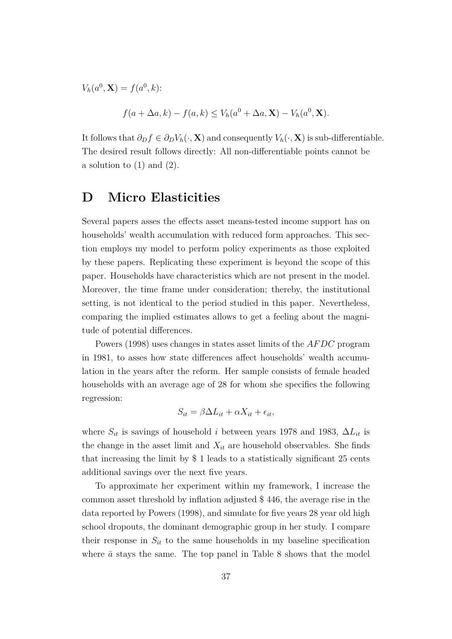$V_h(a^0, \mathbf{X}) = f(a^0, k)$ :

$$
f(a + \Delta a, k) - f(a, k) \le V_h(a^0 + \Delta a, \mathbf{X}) - V_h(a^0, \mathbf{X}).
$$

It follows that  $\partial_D f \in \partial_D V_h(\cdot, \mathbf{X})$  and consequently  $V_h(\cdot, \mathbf{X})$  is sub-differentiable. The desired result follows directly: All non-differentiable points cannot be a solution to  $(1)$  and  $(2)$ .

# **D Micro Elasticities**

Several papers asses the effects asset means-tested income support has on households' wealth accumulation with reduced form approaches. This section employs my model to perform policy experiments as those exploited by these papers. Replicating these experiment is beyond the scope of this paper. Households have characteristics which are not present in the model. Moreover, the time frame under consideration; thereby, the institutional setting, is not identical to the period studied in this paper. Nevertheless, comparing the implied estimates allows to get a feeling about the magnitude of potential differences.

Powers (1998) uses changes in states asset limits of the *AF DC* program in 1981, to asses how state differences affect households' wealth accumulation in the years after the reform. Her sample consists of female headed households with an average age of 28 for whom she specifies the following regression:

$$
S_{it} = \beta \Delta L_{it} + \alpha X_{it} + \epsilon_{it},
$$

where  $S_{it}$  is savings of household *i* between years 1978 and 1983,  $\Delta L_{it}$  is the change in the asset limit and  $X_{it}$  are household observables. She finds that increasing the limit by \$ 1 leads to a statistically significant 25 cents additional savings over the next five years.

To approximate her experiment within my framework, I increase the common asset threshold by inflation adjusted \$ 446, the average rise in the data reported by Powers (1998), and simulate for five years 28 year old high school dropouts, the dominant demographic group in her study. I compare their response in  $S_{it}$  to the same households in my baseline specification where  $\bar{a}$  stays the same. The top panel in Table 8 shows that the model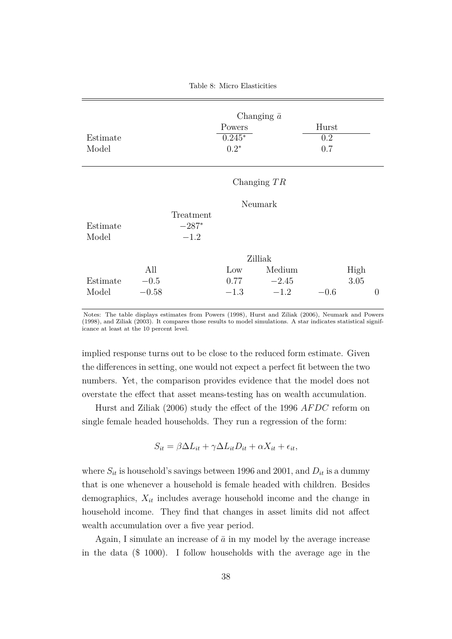Table 8: Micro Elasticities

| Estimate<br>Model |         |                   | Changing $\bar{a}$<br>Powers<br>$0.245*$<br>$0.2*$ |         | Hurst<br>0.2<br>0.7 |      |          |
|-------------------|---------|-------------------|----------------------------------------------------|---------|---------------------|------|----------|
|                   |         |                   | Changing $TR$                                      |         |                     |      |          |
|                   | Neumark |                   |                                                    |         |                     |      |          |
|                   |         | Treatment         |                                                    |         |                     |      |          |
| Estimate<br>Model |         | $-287*$<br>$-1.2$ |                                                    |         |                     |      |          |
|                   |         |                   |                                                    |         |                     |      |          |
|                   |         | Zilliak           |                                                    |         |                     |      |          |
|                   | All     |                   | Low                                                | Medium  |                     | High |          |
| Estimate          | $-0.5$  |                   | 0.77                                               | $-2.45$ |                     | 3.05 |          |
| Model             | $-0.58$ |                   | $-1.3$                                             | $-1.2$  | $-0.6$              |      | $\theta$ |

Notes: The table displays estimates from Powers (1998), Hurst and Ziliak (2006), Neumark and Powers (1998), and Ziliak (2003). It compares those results to model simulations. A star indicates statistical significance at least at the 10 percent level.

implied response turns out to be close to the reduced form estimate. Given the differences in setting, one would not expect a perfect fit between the two numbers. Yet, the comparison provides evidence that the model does not overstate the effect that asset means-testing has on wealth accumulation.

Hurst and Ziliak (2006) study the effect of the 1996 *AF DC* reform on single female headed households. They run a regression of the form:

$$
S_{it} = \beta \Delta L_{it} + \gamma \Delta L_{it} D_{it} + \alpha X_{it} + \epsilon_{it},
$$

where  $S_{it}$  is household's savings between 1996 and 2001, and  $D_{it}$  is a dummy that is one whenever a household is female headed with children. Besides demographics, *Xit* includes average household income and the change in household income. They find that changes in asset limits did not affect wealth accumulation over a five year period.

Again, I simulate an increase of  $\bar{a}$  in my model by the average increase in the data (\$ 1000). I follow households with the average age in the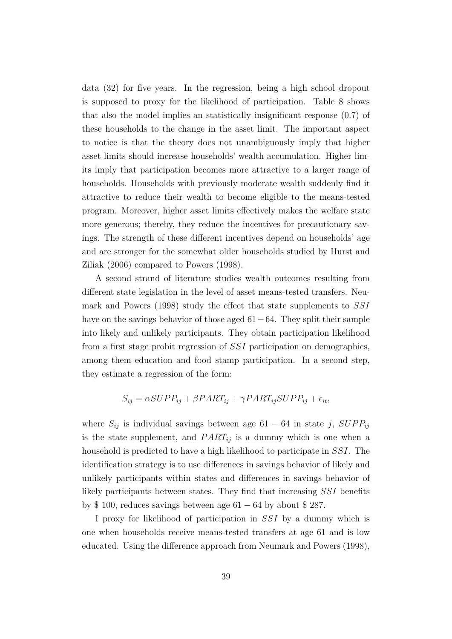data (32) for five years. In the regression, being a high school dropout is supposed to proxy for the likelihood of participation. Table 8 shows that also the model implies an statistically insignificant response (0*.*7) of these households to the change in the asset limit. The important aspect to notice is that the theory does not unambiguously imply that higher asset limits should increase households' wealth accumulation. Higher limits imply that participation becomes more attractive to a larger range of households. Households with previously moderate wealth suddenly find it attractive to reduce their wealth to become eligible to the means-tested program. Moreover, higher asset limits effectively makes the welfare state more generous; thereby, they reduce the incentives for precautionary savings. The strength of these different incentives depend on households' age and are stronger for the somewhat older households studied by Hurst and Ziliak (2006) compared to Powers (1998).

A second strand of literature studies wealth outcomes resulting from different state legislation in the level of asset means-tested transfers. Neumark and Powers (1998) study the effect that state supplements to *SSI* have on the savings behavior of those aged 61−64. They split their sample into likely and unlikely participants. They obtain participation likelihood from a first stage probit regression of *SSI* participation on demographics, among them education and food stamp participation. In a second step, they estimate a regression of the form:

$$
S_{ij} = \alpha SUPP_{ij} + \beta PART_{ij} + \gamma PART_{ij} SUPP_{ij} + \epsilon_{it},
$$

where  $S_{ij}$  is individual savings between age 61 − 64 in state *j*,  $SUPP_{ij}$ is the state supplement, and *P ARTij* is a dummy which is one when a household is predicted to have a high likelihood to participate in *SSI*. The identification strategy is to use differences in savings behavior of likely and unlikely participants within states and differences in savings behavior of likely participants between states. They find that increasing *SSI* benefits by \$ 100, reduces savings between age  $61 - 64$  by about \$ 287.

I proxy for likelihood of participation in *SSI* by a dummy which is one when households receive means-tested transfers at age 61 and is low educated. Using the difference approach from Neumark and Powers (1998),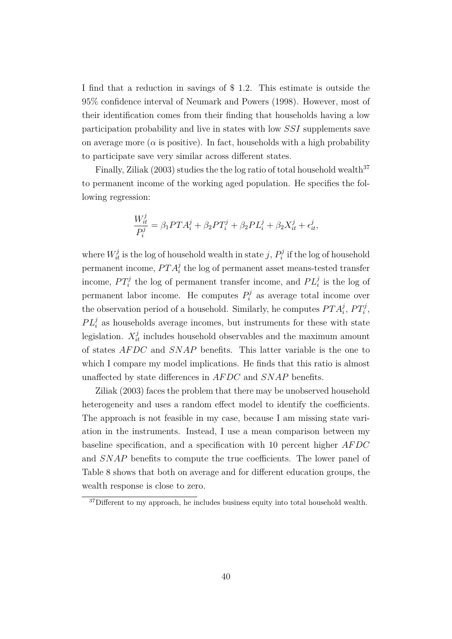I find that a reduction in savings of \$ 1*.*2. This estimate is outside the 95% confidence interval of Neumark and Powers (1998). However, most of their identification comes from their finding that households having a low participation probability and live in states with low *SSI* supplements save on average more ( $\alpha$  is positive). In fact, households with a high probability to participate save very similar across different states.

Finally, Ziliak  $(2003)$  studies the the log ratio of total household wealth<sup>37</sup> to permanent income of the working aged population. He specifies the following regression:

$$
\frac{W_{it}^j}{P_i^j} = \beta_1 PT A_i^j + \beta_2 PT_i^j + \beta_2 PL_i^j + \beta_2 X_{it}^j + \epsilon_{it}^j,
$$

where  $W_{it}^j$  is the log of household wealth in state *j*,  $P_i^j$  $p_i^j$  if the log of household permanent income,  $PT A_i^j$  the log of permanent asset means-tested transfer income,  $PT_i^j$  the log of permanent transfer income, and  $PL_i^j$  is the log of permanent labor income. He computes  $P_i^j$  as average total income over the observation period of a household. Similarly, he computes  $PT A_i^j$ ,  $PT_i^j$ ,  $PL_i^j$  as households average incomes, but instruments for these with state legislation.  $X_{it}^{j}$  includes household observables and the maximum amount of states *AF DC* and *SNAP* benefits. This latter variable is the one to which I compare my model implications. He finds that this ratio is almost unaffected by state differences in *AF DC* and *SNAP* benefits.

Ziliak (2003) faces the problem that there may be unobserved household heterogeneity and uses a random effect model to identify the coefficients. The approach is not feasible in my case, because I am missing state variation in the instruments. Instead, I use a mean comparison between my baseline specification, and a specification with 10 percent higher *AF DC* and *SNAP* benefits to compute the true coefficients. The lower panel of Table 8 shows that both on average and for different education groups, the wealth response is close to zero.

 $37$ Different to my approach, he includes business equity into total household wealth.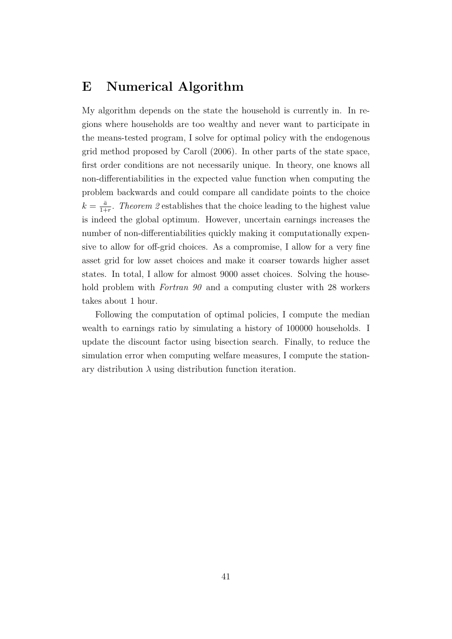## **E Numerical Algorithm**

My algorithm depends on the state the household is currently in. In regions where households are too wealthy and never want to participate in the means-tested program, I solve for optimal policy with the endogenous grid method proposed by Caroll (2006). In other parts of the state space, first order conditions are not necessarily unique. In theory, one knows all non-differentiabilities in the expected value function when computing the problem backwards and could compare all candidate points to the choice  $k=\frac{\bar{a}}{1+\bar{b}}$  $\frac{\bar{a}}{1+r}$ . *Theorem 2* establishes that the choice leading to the highest value is indeed the global optimum. However, uncertain earnings increases the number of non-differentiabilities quickly making it computationally expensive to allow for off-grid choices. As a compromise, I allow for a very fine asset grid for low asset choices and make it coarser towards higher asset states. In total, I allow for almost 9000 asset choices. Solving the household problem with *Fortran 90* and a computing cluster with 28 workers takes about 1 hour.

Following the computation of optimal policies, I compute the median wealth to earnings ratio by simulating a history of 100000 households. I update the discount factor using bisection search. Finally, to reduce the simulation error when computing welfare measures, I compute the stationary distribution  $\lambda$  using distribution function iteration.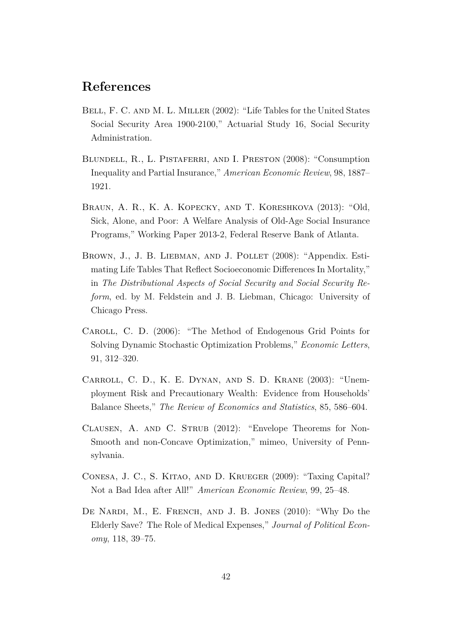### **References**

- BELL, F. C. AND M. L. MILLER (2002): "Life Tables for the United States Social Security Area 1900-2100," Actuarial Study 16, Social Security Administration.
- BLUNDELL, R., L. PISTAFERRI, AND I. PRESTON (2008): "Consumption Inequality and Partial Insurance," *American Economic Review*, 98, 1887– 1921.
- Braun, A. R., K. A. Kopecky, and T. Koreshkova (2013): "Old, Sick, Alone, and Poor: A Welfare Analysis of Old-Age Social Insurance Programs," Working Paper 2013-2, Federal Reserve Bank of Atlanta.
- BROWN, J., J. B. LIEBMAN, AND J. POLLET (2008): "Appendix. Estimating Life Tables That Reflect Socioeconomic Differences In Mortality," in *The Distributional Aspects of Social Security and Social Security Reform*, ed. by M. Feldstein and J. B. Liebman, Chicago: University of Chicago Press.
- Caroll, C. D. (2006): "The Method of Endogenous Grid Points for Solving Dynamic Stochastic Optimization Problems," *Economic Letters*, 91, 312–320.
- Carroll, C. D., K. E. Dynan, and S. D. Krane (2003): "Unemployment Risk and Precautionary Wealth: Evidence from Households' Balance Sheets," *The Review of Economics and Statistics*, 85, 586–604.
- CLAUSEN, A. AND C. STRUB (2012): "Envelope Theorems for Non-Smooth and non-Concave Optimization," mimeo, University of Pennsylvania.
- Conesa, J. C., S. Kitao, and D. Krueger (2009): "Taxing Capital? Not a Bad Idea after All!" *American Economic Review*, 99, 25–48.
- De Nardi, M., E. French, and J. B. Jones (2010): "Why Do the Elderly Save? The Role of Medical Expenses," *Journal of Political Economy*, 118, 39–75.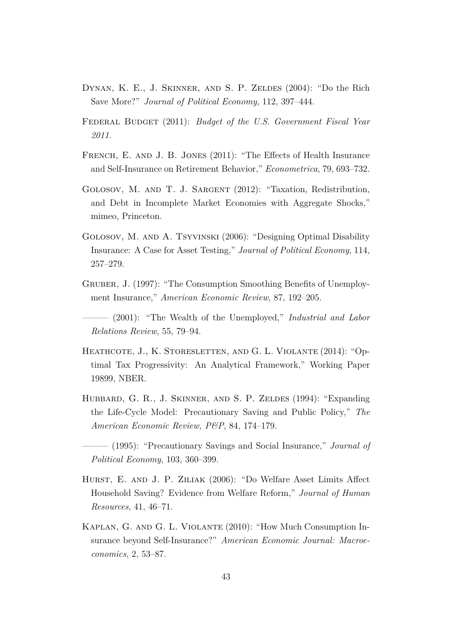- Dynan, K. E., J. Skinner, and S. P. Zeldes (2004): "Do the Rich Save More?" *Journal of Political Economy*, 112, 397–444.
- Federal Budget (2011): *Budget of the U.S. Government Fiscal Year 2011*.
- French, E. and J. B. Jones (2011): "The Effects of Health Insurance and Self-Insurance on Retirement Behavior," *Econometrica*, 79, 693–732.
- Golosov, M. and T. J. Sargent (2012): "Taxation, Redistribution, and Debt in Incomplete Market Economies with Aggregate Shocks," mimeo, Princeton.
- Golosov, M. and A. Tsyvinski (2006): "Designing Optimal Disability Insurance: A Case for Asset Testing," *Journal of Political Economy*, 114, 257–279.
- Gruber, J. (1997): "The Consumption Smoothing Benefits of Unemployment Insurance," *American Economic Review*, 87, 192–205.

——— (2001): "The Wealth of the Unemployed," *Industrial and Labor Relations Review*, 55, 79–94.

- HEATHCOTE, J., K. STORESLETTEN, AND G. L. VIOLANTE (2014): "Optimal Tax Progressivity: An Analytical Framework," Working Paper 19899, NBER.
- HUBBARD, G. R., J. SKINNER, AND S. P. ZELDES (1994): "Expanding the Life-Cycle Model: Precautionary Saving and Public Policy," *The American Economic Review, P&P*, 84, 174–179.
- ——— (1995): "Precautionary Savings and Social Insurance," *Journal of Political Economy*, 103, 360–399.
- Hurst, E. and J. P. Ziliak (2006): "Do Welfare Asset Limits Affect Household Saving? Evidence from Welfare Reform," *Journal of Human Resources*, 41, 46–71.
- Kaplan, G. and G. L. Violante (2010): "How Much Consumption Insurance beyond Self-Insurance?" *American Economic Journal: Macroeconomics*, 2, 53–87.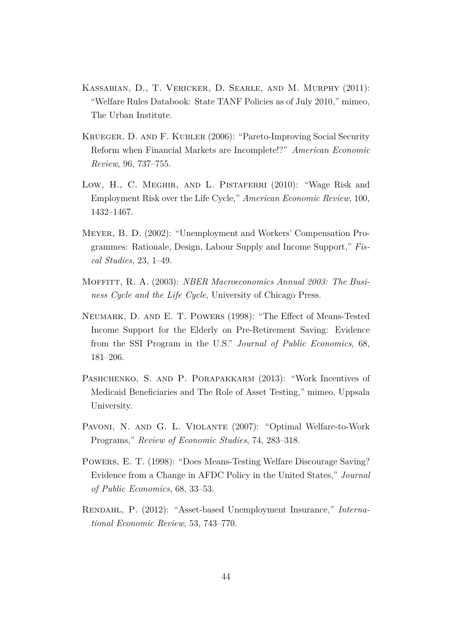- Kassabian, D., T. Vericker, D. Searle, and M. Murphy (2011): "Welfare Rules Databook: State TANF Policies as of July 2010," mimeo, The Urban Institute.
- Krueger, D. and F. Kubler (2006): "Pareto-Improving Social Security Reform when Financial Markets are Incomplete!?" *American Economic Review*, 96, 737–755.
- Low, H., C. Meghir, and L. Pistaferri (2010): "Wage Risk and Employment Risk over the Life Cycle," *American Economic Review*, 100, 1432–1467.
- Meyer, B. D. (2002): "Unemployment and Workers' Compensation Programmes: Rationale, Design, Labour Supply and Income Support," *Fiscal Studies*, 23, 1–49.
- Moffitt, R. A. (2003): *NBER Macroeconomics Annual 2003: The Business Cycle and the Life Cycle*, University of Chicago Press.
- Neumark, D. and E. T. Powers (1998): "The Effect of Means-Tested Income Support for the Elderly on Pre-Retirement Saving: Evidence from the SSI Program in the U.S." *Journal of Public Economics*, 68, 181–206.
- PASHCHENKO, S. AND P. PORAPAKKARM (2013): "Work Incentives of Medicaid Beneficiaries and The Role of Asset Testing," mimeo, Uppsala University.
- PAVONI, N. AND G. L. VIOLANTE (2007): "Optimal Welfare-to-Work Programs," *Review of Economic Studies*, 74, 283–318.
- Powers, E. T. (1998): "Does Means-Testing Welfare Discourage Saving? Evidence from a Change in AFDC Policy in the United States," *Journal of Public Economics*, 68, 33–53.
- Rendahl, P. (2012): "Asset-based Unemployment Insurance," *International Economic Review*, 53, 743–770.